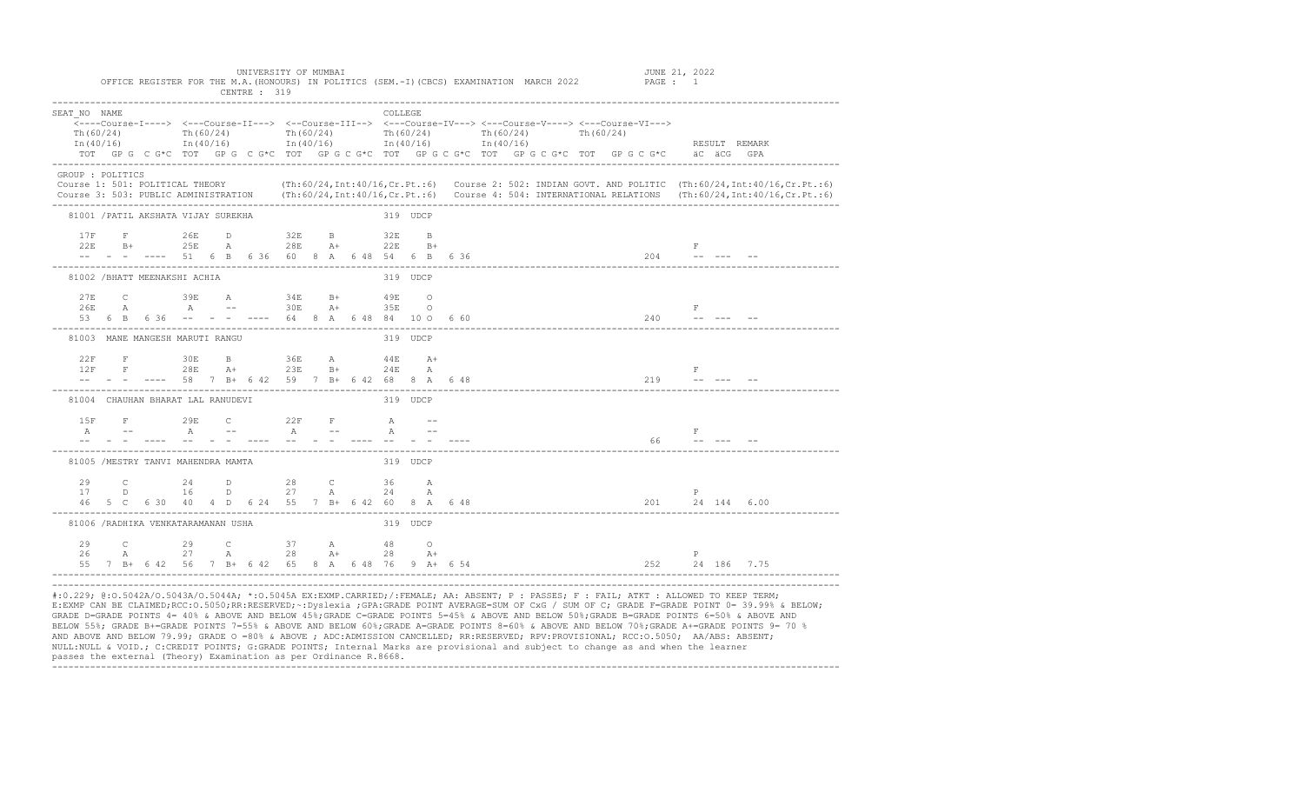|                                                               |              |                                     |            | UNIVERSITY OF MUMBAI<br>OFFICE REGISTER FOR THE M.A. (HONOURS) IN POLITICS (SEM.-I) (CBCS) EXAMINATION MARCH 2022 PAGE : 1<br>CENTRE : 319                                                                                                                                                                                                                          |              |  |                |  |                                        |  |           |  |  | JUNE 21, 2022   |                                   |              |               |  |  |
|---------------------------------------------------------------|--------------|-------------------------------------|------------|---------------------------------------------------------------------------------------------------------------------------------------------------------------------------------------------------------------------------------------------------------------------------------------------------------------------------------------------------------------------|--------------|--|----------------|--|----------------------------------------|--|-----------|--|--|-----------------|-----------------------------------|--------------|---------------|--|--|
| SEAT NO NAME<br>Th(60/24)<br>In $(40/16)$<br>GROUP : POLITICS |              | Th $(60/24)$                        |            | <---Course-I----> <---Course-II---> <--Course-III--> <---Course-IV---> <---Course-V----> <---Course-VI---><br>In (40/16) $\ln(40/16)$ In (40/16) $\ln(40/16)$ In (40/16)<br>TOT GPG C G*C TOT GPG C G*C TOT GPG C G*C TOT GPG C G*C TOT GPG C G*C TOT GPG C G*C äC äCG GPA                                                                                          |              |  | <b>COLLEGE</b> |  | Th $(60/24)$ Th $(60/24)$ Th $(60/24)$ |  | Th(60/24) |  |  |                 |                                   |              | RESULT REMARK |  |  |
|                                                               |              |                                     |            | Course 1: 501: POLITICAL THEORY (Th:60/24, Int:40/16, Cr. Pt.:6) Course 2: 502: INDIAN GOVT. AND POLITIC (Th:60/24, Int:40/16, Cr. Pt.:6)<br>Course 3: 503: PUBLIC ADMINISTRATION (Th:60/24, Int:40/16, Cr. Pt.:6) Course 4: 504: INTERNATIONAL RELATIONS (Th:60/24, Int:40/16, Cr. Pt.:6)                                                                          |              |  |                |  |                                        |  |           |  |  |                 |                                   |              |               |  |  |
|                                                               |              | 81001 / PATIL AKSHATA VIJAY SUREKHA |            |                                                                                                                                                                                                                                                                                                                                                                     |              |  | 319 UDCP       |  |                                        |  |           |  |  |                 |                                   |              |               |  |  |
| 17F<br>22E                                                    |              | $F$ 26E                             |            | D 32E B 32E B<br>B+ 25E A 28E A+ 22E B+                                                                                                                                                                                                                                                                                                                             |              |  |                |  |                                        |  |           |  |  |                 | $-F$                              |              |               |  |  |
|                                                               |              | 81002 / BHATT MEENAKSHI ACHIA       |            |                                                                                                                                                                                                                                                                                                                                                                     |              |  | 319 UDCP       |  |                                        |  |           |  |  |                 |                                   |              |               |  |  |
| 27E<br>2.6E                                                   | $\mathbb{A}$ |                                     | $A \t - -$ | C 39E A 34E B+ 49E O                                                                                                                                                                                                                                                                                                                                                | 30E A+ 35E O |  |                |  |                                        |  |           |  |  |                 | $- F$                             |              |               |  |  |
|                                                               |              | 81003 MANE MANGESH MARUTI RANGU     |            |                                                                                                                                                                                                                                                                                                                                                                     |              |  | 319 UDCP       |  |                                        |  |           |  |  |                 |                                   |              |               |  |  |
| 22F<br>12F                                                    |              |                                     |            | $\begin{tabular}{lcccccc} F & & 30E & B & & 36E & A & & 44E & A+ \\[1mm] F & & 28E & A+ & & 23E & B+ & & 24E & A \end{tabular}$<br>ление на селото на селото на селото на 1992 година на 1992 година на 1992 година на 1992 година на 1992 година<br>Представляет на 1992 година на 1992 година на 1992 година на 1992 година на 1992 година на 1993 година на 1993 |              |  |                |  |                                        |  |           |  |  |                 |                                   | F            |               |  |  |
|                                                               |              | 81004 CHAUHAN BHARAT LAL RANUDEVI   |            |                                                                                                                                                                                                                                                                                                                                                                     |              |  | 319 UDCP       |  |                                        |  |           |  |  |                 |                                   |              |               |  |  |
| 1.5F                                                          |              |                                     |            | F 29E C 22F F A --                                                                                                                                                                                                                                                                                                                                                  |              |  |                |  |                                        |  |           |  |  |                 | <b>Example 19</b><br>$66 - - - -$ |              |               |  |  |
|                                                               |              | 81005 /MESTRY TANVI MAHENDRA MAMTA  |            |                                                                                                                                                                                                                                                                                                                                                                     |              |  | 319 UDCP       |  |                                        |  |           |  |  |                 |                                   |              |               |  |  |
|                                                               |              |                                     |            | 29 C 24 D 28 C 36 A<br>17 D 16 D 27 A 24 A                                                                                                                                                                                                                                                                                                                          |              |  |                |  |                                        |  |           |  |  |                 |                                   | P            |               |  |  |
|                                                               |              | 81006 / RADHIKA VENKATARAMANAN USHA |            |                                                                                                                                                                                                                                                                                                                                                                     |              |  | 319 UDCP       |  |                                        |  |           |  |  |                 |                                   |              |               |  |  |
| 29<br>26                                                      |              |                                     |            | C 29 C 37 A 48 O<br>A 27 A 28 A+ 28 A+<br>55 7 B+ 6 42 56 7 B+ 6 42 65 8 A 6 48 76 9 A+ 6 54                                                                                                                                                                                                                                                                        |              |  |                |  |                                        |  |           |  |  | 252 24 186 7.75 |                                   | $\mathbb{P}$ |               |  |  |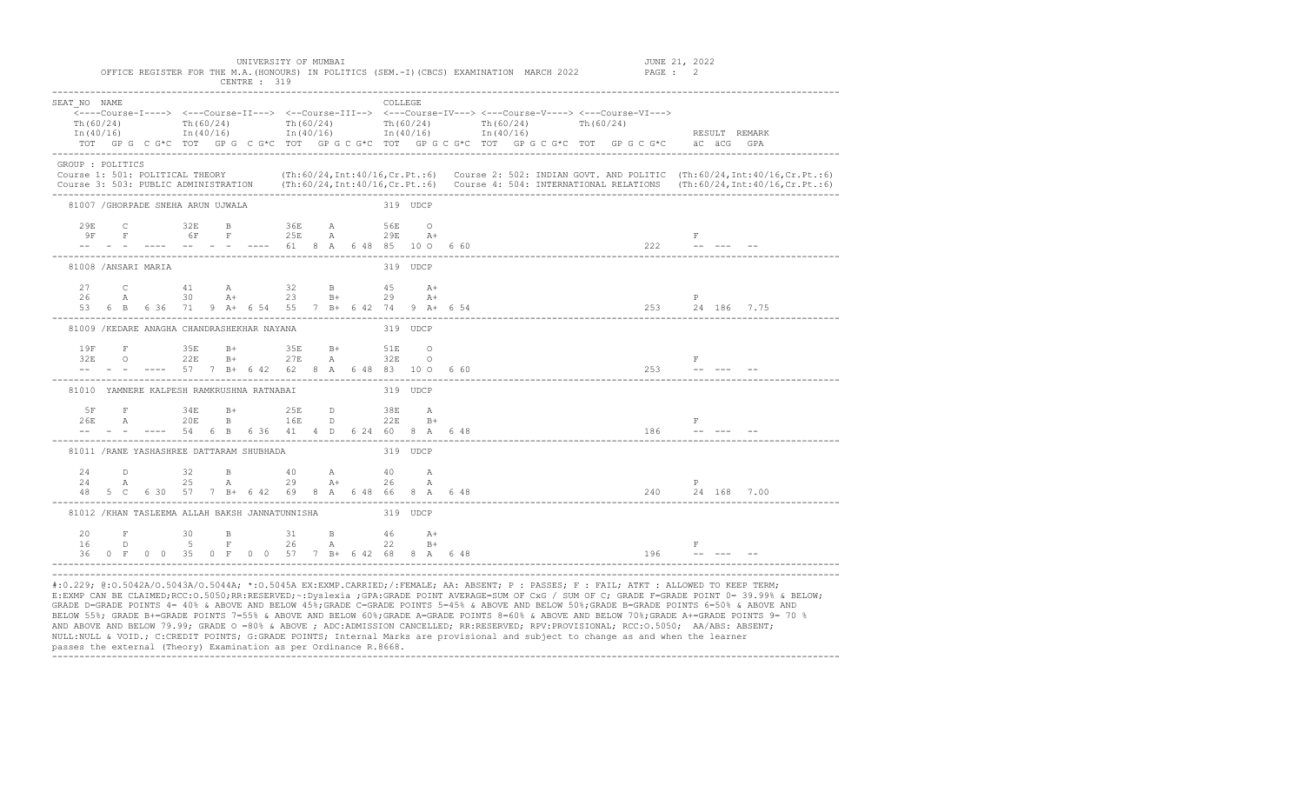| SEAT NO NAME                       |  |              |  |                                                          |  |  | <b>COLLEGE</b> |          |                                                                                                                         |                                                                                                                                                       |  |                                          |                               |                                                                                                                                                                                                                                                                                            |  |
|------------------------------------|--|--------------|--|----------------------------------------------------------|--|--|----------------|----------|-------------------------------------------------------------------------------------------------------------------------|-------------------------------------------------------------------------------------------------------------------------------------------------------|--|------------------------------------------|-------------------------------|--------------------------------------------------------------------------------------------------------------------------------------------------------------------------------------------------------------------------------------------------------------------------------------------|--|
| Th $(60/24)$                       |  | Th $(60/24)$ |  |                                                          |  |  |                |          |                                                                                                                         | <---Course-I----> <---Course-II---> <--Course-III--> <---Course-IV---> <---Course-V----> <---Course-VI---><br>Th(60/24) Th(60/24) Th(60/24) Th(60/24) |  |                                          |                               |                                                                                                                                                                                                                                                                                            |  |
|                                    |  |              |  |                                                          |  |  |                |          | $\text{In (40/16)}$ $\text{In (40/16)}$ $\text{In (40/16)}$ $\text{In (40/16)}$ $\text{In (40/16)}$ $\text{In (40/16)}$ |                                                                                                                                                       |  |                                          |                               | RESULT REMARK                                                                                                                                                                                                                                                                              |  |
|                                    |  |              |  |                                                          |  |  |                |          |                                                                                                                         | TOT GPG CG*C TOT GPG CG*C TOT GPG CG*C TOT GPG CG*C TOT GPG CG*C TOT GPG CG*C äCG GPA                                                                 |  |                                          |                               |                                                                                                                                                                                                                                                                                            |  |
| GROUP : POLITICS                   |  |              |  |                                                          |  |  |                |          |                                                                                                                         |                                                                                                                                                       |  |                                          |                               |                                                                                                                                                                                                                                                                                            |  |
|                                    |  |              |  |                                                          |  |  |                |          |                                                                                                                         |                                                                                                                                                       |  |                                          |                               | Course 1: 501: POLITICAL THEORY (Th:60/24, Int:40/16, Cr. Pt.:6) Course 2: 502: INDIAN GOVT. AND POLITIC (Th:60/24, Int:40/16, Cr. Pt.:6)<br>Course 3: 503: PUBLIC ADMINISTRATION (Th:60/24, Int:40/16, Cr. Pt.:6) Course 4: 504: INTERNATIONAL RELATIONS (Th:60/24, Int:40/16, Cr. Pt.:6) |  |
| 81007 / GHORPADE SNEHA ARUN UJWALA |  |              |  |                                                          |  |  | 319 UDCP       |          |                                                                                                                         |                                                                                                                                                       |  |                                          |                               |                                                                                                                                                                                                                                                                                            |  |
|                                    |  |              |  | 29E C 32E B 36E A 56E O                                  |  |  |                |          |                                                                                                                         |                                                                                                                                                       |  |                                          |                               |                                                                                                                                                                                                                                                                                            |  |
|                                    |  |              |  | $9F$ $F$ $6F$ $F$ $25E$ $A$ $29E$ $A^{+}$                |  |  |                |          |                                                                                                                         |                                                                                                                                                       |  |                                          | F                             |                                                                                                                                                                                                                                                                                            |  |
|                                    |  |              |  |                                                          |  |  |                |          | $-  - -    --$ 61 8 A 6 48 85 10 0 6 60                                                                                 |                                                                                                                                                       |  |                                          | $222$ -- --- --               |                                                                                                                                                                                                                                                                                            |  |
| 81008 /ANSARI MARIA                |  |              |  |                                                          |  |  |                | 319 UDCP |                                                                                                                         |                                                                                                                                                       |  |                                          |                               |                                                                                                                                                                                                                                                                                            |  |
|                                    |  |              |  | 27 C 41 A 32 B 45 A+                                     |  |  |                |          |                                                                                                                         |                                                                                                                                                       |  |                                          |                               |                                                                                                                                                                                                                                                                                            |  |
|                                    |  |              |  | $26$ A $30$ A+ $23$ B+ $29$ A+                           |  |  |                |          |                                                                                                                         |                                                                                                                                                       |  |                                          | P                             |                                                                                                                                                                                                                                                                                            |  |
|                                    |  |              |  |                                                          |  |  |                |          |                                                                                                                         | 53 6 B 6 36 71 9 A+ 6 54 55 7 B+ 6 42 74 9 A+ 6 54                                                                                                    |  |                                          |                               |                                                                                                                                                                                                                                                                                            |  |
|                                    |  |              |  | 81009 / KEDARE ANAGHA CHANDRASHEKHAR NAYANA              |  |  | 319 UDCP       |          |                                                                                                                         |                                                                                                                                                       |  |                                          |                               |                                                                                                                                                                                                                                                                                            |  |
|                                    |  |              |  |                                                          |  |  |                |          |                                                                                                                         |                                                                                                                                                       |  |                                          |                               |                                                                                                                                                                                                                                                                                            |  |
|                                    |  |              |  |                                                          |  |  |                |          |                                                                                                                         |                                                                                                                                                       |  | <b>Experience of the Second Property</b> |                               |                                                                                                                                                                                                                                                                                            |  |
|                                    |  |              |  |                                                          |  |  |                |          | $-  --$ 57 7 B+ 6 42 62 8 A 6 48 83 10 O 6 60                                                                           |                                                                                                                                                       |  | $253$ ------                             |                               |                                                                                                                                                                                                                                                                                            |  |
|                                    |  |              |  | 81010 YAMNERE KALPESH RAMKRUSHNA RATNABAT                |  |  | 319 UDCP       |          |                                                                                                                         |                                                                                                                                                       |  |                                          |                               |                                                                                                                                                                                                                                                                                            |  |
|                                    |  |              |  |                                                          |  |  |                |          |                                                                                                                         |                                                                                                                                                       |  |                                          |                               |                                                                                                                                                                                                                                                                                            |  |
|                                    |  |              |  |                                                          |  |  |                |          |                                                                                                                         |                                                                                                                                                       |  |                                          | $-$ F                         |                                                                                                                                                                                                                                                                                            |  |
|                                    |  |              |  |                                                          |  |  |                |          | $- --$ 54 6 B 6 36 41 4 D 6 24 60 8 A 6 48                                                                              |                                                                                                                                                       |  | $186$ ------                             |                               |                                                                                                                                                                                                                                                                                            |  |
|                                    |  |              |  | 81011 / RANE YASHASHREE DATTARAM SHUBHADA                |  |  | 319 UDCP       |          |                                                                                                                         |                                                                                                                                                       |  |                                          |                               |                                                                                                                                                                                                                                                                                            |  |
| $24$ D                             |  |              |  | $32$ B $40$ A $40$ A                                     |  |  |                |          |                                                                                                                         |                                                                                                                                                       |  |                                          |                               |                                                                                                                                                                                                                                                                                            |  |
|                                    |  |              |  | 24 A 25 A 29 A+ 26 A                                     |  |  |                |          |                                                                                                                         |                                                                                                                                                       |  |                                          | P                             |                                                                                                                                                                                                                                                                                            |  |
|                                    |  |              |  |                                                          |  |  |                |          | 48 5 C 6 30 57 7 B+ 6 42 69 8 A 6 48 66 8 A 6 48                                                                        |                                                                                                                                                       |  |                                          |                               | 240 24 168 7.00                                                                                                                                                                                                                                                                            |  |
|                                    |  |              |  | 81012 / KHAN TASLEEMA ALLAH BAKSH JANNATUNNISHA 319 UDCP |  |  |                |          |                                                                                                                         |                                                                                                                                                       |  |                                          |                               |                                                                                                                                                                                                                                                                                            |  |
| 20                                 |  |              |  | F 30 B 31 B 46 A+                                        |  |  |                |          |                                                                                                                         |                                                                                                                                                       |  |                                          |                               |                                                                                                                                                                                                                                                                                            |  |
| 16                                 |  |              |  | D 5 F 26 A 22 B+                                         |  |  |                |          |                                                                                                                         |                                                                                                                                                       |  |                                          | $\mathbf{F}$ and $\mathbf{F}$ |                                                                                                                                                                                                                                                                                            |  |
|                                    |  |              |  |                                                          |  |  |                |          | 36 0 F 0 0 35 0 F 0 0 57 7 B + 6 42 68 8 A 6 48                                                                         |                                                                                                                                                       |  | $196$ ------                             |                               |                                                                                                                                                                                                                                                                                            |  |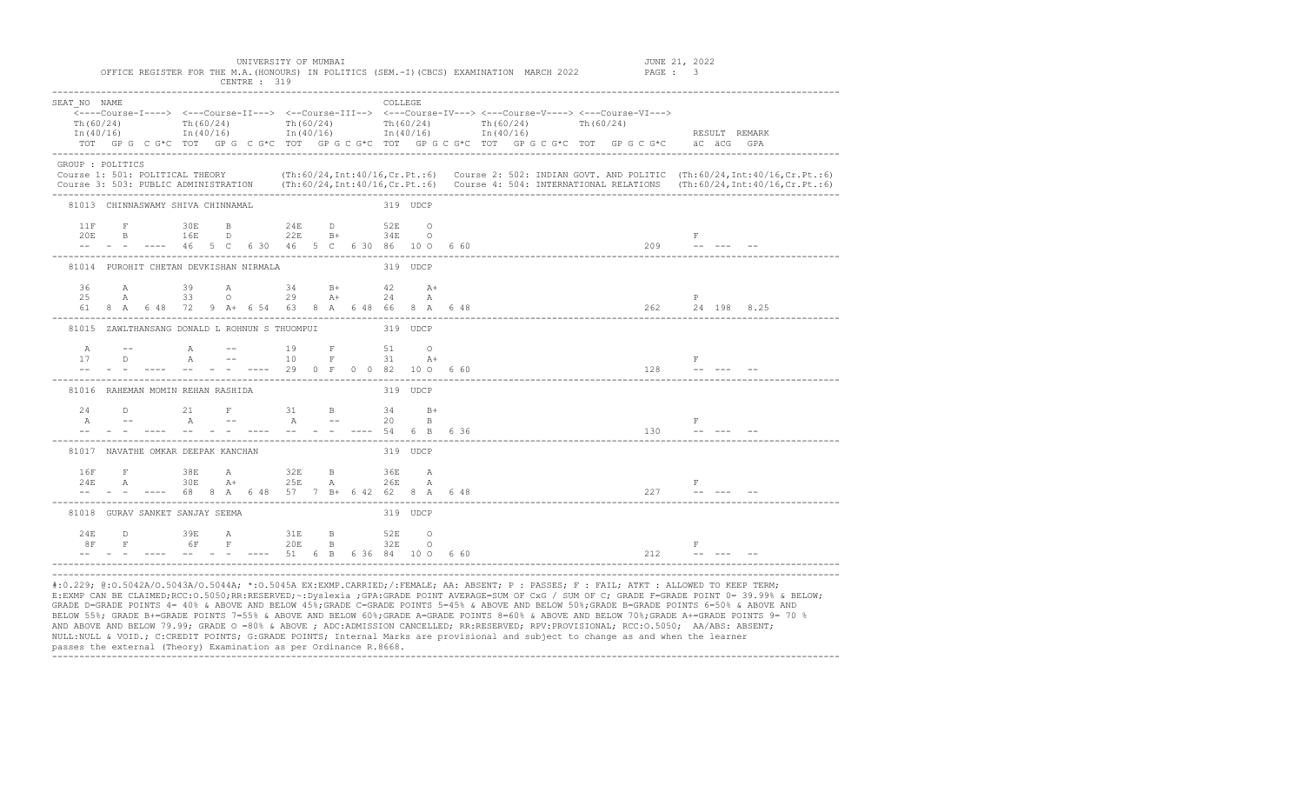| SEAT NO NAME     |                               |                                                                                                     |               |      |                                   |         |  | <b>COLLEGE</b> |          |              |              |  | <---Course-I----> <---Course-II---> <--Course-III--> <---Course-IV---> <---Course-V----> <---Course-VI---> |                                                                                                                                                                                                                                                                                                                                                                                                                                                                 |                                                                                                                                                                                                                                                                                            |  |
|------------------|-------------------------------|-----------------------------------------------------------------------------------------------------|---------------|------|-----------------------------------|---------|--|----------------|----------|--------------|--------------|--|------------------------------------------------------------------------------------------------------------|-----------------------------------------------------------------------------------------------------------------------------------------------------------------------------------------------------------------------------------------------------------------------------------------------------------------------------------------------------------------------------------------------------------------------------------------------------------------|--------------------------------------------------------------------------------------------------------------------------------------------------------------------------------------------------------------------------------------------------------------------------------------------|--|
| Th(60/24)        |                               | Th $(60/24)$                                                                                        |               |      | Th(60/24)                         |         |  | Th $(60/24)$   |          | Th $(60/24)$ | Th $(60/24)$ |  |                                                                                                            |                                                                                                                                                                                                                                                                                                                                                                                                                                                                 |                                                                                                                                                                                                                                                                                            |  |
|                  |                               | $\text{In (40/16)}$ $\text{In (40/16)}$ $\text{In (40/16)}$ $\text{In (40/16)}$ $\text{In (40/16)}$ |               |      |                                   |         |  |                |          |              |              |  |                                                                                                            |                                                                                                                                                                                                                                                                                                                                                                                                                                                                 | RESULT REMARK                                                                                                                                                                                                                                                                              |  |
|                  |                               |                                                                                                     |               |      |                                   |         |  |                |          |              |              |  | TOT GPG C G*C TOT GPG C G*C TOT GPG C G*C TOT GPG C G*C TOT GPG C G*C TOT GPG C G*C aC aCG GPA             |                                                                                                                                                                                                                                                                                                                                                                                                                                                                 |                                                                                                                                                                                                                                                                                            |  |
| GROUP : POLITICS |                               |                                                                                                     |               |      |                                   |         |  |                |          |              |              |  |                                                                                                            |                                                                                                                                                                                                                                                                                                                                                                                                                                                                 |                                                                                                                                                                                                                                                                                            |  |
|                  |                               |                                                                                                     |               |      |                                   |         |  |                |          |              |              |  |                                                                                                            |                                                                                                                                                                                                                                                                                                                                                                                                                                                                 | Course 1: 501: POLITICAL THEORY (Th:60/24, Int:40/16, Cr. Pt.:6) Course 2: 502: INDIAN GOVT. AND POLITIC (Th:60/24, Int:40/16, Cr. Pt.:6)<br>Course 3: 503: PUBLIC ADMINISTRATION (Th:60/24, Int:40/16, Cr. Pt.:6) Course 4: 504: INTERNATIONAL RELATIONS (Th:60/24, Int:40/16, Cr. Pt.:6) |  |
|                  |                               |                                                                                                     |               |      |                                   |         |  |                |          |              |              |  |                                                                                                            |                                                                                                                                                                                                                                                                                                                                                                                                                                                                 |                                                                                                                                                                                                                                                                                            |  |
|                  |                               | 81013 CHINNASWAMY SHIVA CHINNAMAL                                                                   |               |      |                                   |         |  |                | 319 UDCP |              |              |  |                                                                                                            |                                                                                                                                                                                                                                                                                                                                                                                                                                                                 |                                                                                                                                                                                                                                                                                            |  |
| 11F              |                               | <b>F</b> 30E                                                                                        |               |      | <b>B</b> 24E D                    |         |  | 52E 0          |          |              |              |  |                                                                                                            |                                                                                                                                                                                                                                                                                                                                                                                                                                                                 |                                                                                                                                                                                                                                                                                            |  |
| 20E              |                               | B 16E<br>$- - -46$ 5 C 6 30 46 5 C 6 30 86 10 O 6 60                                                |               |      | D 22E B+ 34E O                    |         |  |                |          |              |              |  |                                                                                                            | $\mathbb{F}$<br>$209$ -- --- --                                                                                                                                                                                                                                                                                                                                                                                                                                 |                                                                                                                                                                                                                                                                                            |  |
|                  |                               |                                                                                                     |               |      |                                   |         |  |                |          |              |              |  |                                                                                                            |                                                                                                                                                                                                                                                                                                                                                                                                                                                                 |                                                                                                                                                                                                                                                                                            |  |
|                  |                               | 81014 PUROHIT CHETAN DEVKISHAN NIRMALA                                                              |               |      |                                   |         |  |                | 319 UDCP |              |              |  |                                                                                                            |                                                                                                                                                                                                                                                                                                                                                                                                                                                                 |                                                                                                                                                                                                                                                                                            |  |
| 36               | $\mathbb{A}$                  |                                                                                                     | $39 \qquad A$ |      |                                   | $34$ B+ |  | $42$ $A+$      |          |              |              |  |                                                                                                            |                                                                                                                                                                                                                                                                                                                                                                                                                                                                 |                                                                                                                                                                                                                                                                                            |  |
| 25               | A                             | 61 8 A 6 48 72 9 A + 6 54 63 8 A 6 48 66 8 A 6 48                                                   |               |      | $33 \t 0 \t 29 \t A+ \t 24$       |         |  |                | A        |              |              |  | 262 24 198 8.25                                                                                            | P                                                                                                                                                                                                                                                                                                                                                                                                                                                               |                                                                                                                                                                                                                                                                                            |  |
|                  |                               |                                                                                                     |               |      |                                   |         |  |                |          |              |              |  |                                                                                                            |                                                                                                                                                                                                                                                                                                                                                                                                                                                                 |                                                                                                                                                                                                                                                                                            |  |
|                  |                               | 81015 ZAWLTHANSANG DONALD L ROHNUN S THUOMPUI                                                       |               |      |                                   |         |  | 319 UDCP       |          |              |              |  |                                                                                                            |                                                                                                                                                                                                                                                                                                                                                                                                                                                                 |                                                                                                                                                                                                                                                                                            |  |
| A                | and the state of the state of |                                                                                                     |               |      | A -- 19 F 51 O<br>A -- 10 F 31 A+ |         |  |                |          |              |              |  |                                                                                                            |                                                                                                                                                                                                                                                                                                                                                                                                                                                                 |                                                                                                                                                                                                                                                                                            |  |
| 17               |                               | $\Box$                                                                                              |               |      |                                   |         |  |                |          |              |              |  | $\mathbf{F}$ and $\mathbf{F}$ and $\mathbf{F}$                                                             |                                                                                                                                                                                                                                                                                                                                                                                                                                                                 |                                                                                                                                                                                                                                                                                            |  |
|                  |                               | -- - - ---- -- - - ---- 29 0 F 0 0 82 10 0 660                                                      |               |      |                                   |         |  |                |          |              |              |  | $128$ ------                                                                                               |                                                                                                                                                                                                                                                                                                                                                                                                                                                                 |                                                                                                                                                                                                                                                                                            |  |
|                  |                               | 81016 RAHEMAN MOMIN REHAN RASHIDA                                                                   |               |      |                                   |         |  |                | 319 UDCP |              |              |  |                                                                                                            |                                                                                                                                                                                                                                                                                                                                                                                                                                                                 |                                                                                                                                                                                                                                                                                            |  |
|                  |                               |                                                                                                     |               |      |                                   |         |  |                |          |              |              |  |                                                                                                            |                                                                                                                                                                                                                                                                                                                                                                                                                                                                 |                                                                                                                                                                                                                                                                                            |  |
|                  |                               | $24$ D $21$ F $31$ B $34$ B+<br>A -- A -- A -- 20 B                                                 |               |      |                                   |         |  |                |          |              |              |  |                                                                                                            | $\mathbf{F}$                                                                                                                                                                                                                                                                                                                                                                                                                                                    |                                                                                                                                                                                                                                                                                            |  |
|                  |                               | -- - - ---- -- - - ---- -- - ---- 54 6 B 6 36                                                       |               |      |                                   |         |  |                |          |              |              |  | $130 - - -$                                                                                                |                                                                                                                                                                                                                                                                                                                                                                                                                                                                 |                                                                                                                                                                                                                                                                                            |  |
|                  |                               | 81017 NAVATHE OMKAR DEEPAK KANCHAN                                                                  |               |      |                                   |         |  |                | 319 UDCP |              |              |  |                                                                                                            |                                                                                                                                                                                                                                                                                                                                                                                                                                                                 |                                                                                                                                                                                                                                                                                            |  |
| 16F              |                               | <b>F</b> 38E                                                                                        |               |      | <b>A</b> 32E                      |         |  | B 36E A        |          |              |              |  |                                                                                                            |                                                                                                                                                                                                                                                                                                                                                                                                                                                                 |                                                                                                                                                                                                                                                                                            |  |
| 24E              |                               | A 30E                                                                                               |               | $A+$ |                                   | 25E A   |  |                | 26E A    |              |              |  |                                                                                                            | $\begin{array}{ccc}\n & \text{F} \\  & -\text{F} \\  & -\text{F} \\  & -\text{F} \\  & -\text{F} \\  & -\text{F} \\  & -\text{F} \\  & -\text{F} \\  & -\text{F} \\  & -\text{F} \\  & -\text{F} \\  & -\text{F} \\  & -\text{F} \\  & -\text{F} \\  & -\text{F} \\  & -\text{F} \\  & -\text{F} \\  & -\text{F} \\  & -\text{F} \\  & -\text{F} \\  & -\text{F} \\  & -\text{F} \\  & -\text{F} \\  & -\text{F} \\  & -\text{F} \\  & -\text{F} \\  & -\text{$ |                                                                                                                                                                                                                                                                                            |  |
|                  |                               | $  -$ 68 8 A 6 48 57 7 B+ 6 42 62 8 A 6 48                                                          |               |      |                                   |         |  |                |          |              |              |  | 227                                                                                                        |                                                                                                                                                                                                                                                                                                                                                                                                                                                                 |                                                                                                                                                                                                                                                                                            |  |
|                  |                               | 81018 GURAV SANKET SANJAY SEEMA                                                                     |               |      |                                   |         |  |                | 319 UDCP |              |              |  |                                                                                                            |                                                                                                                                                                                                                                                                                                                                                                                                                                                                 |                                                                                                                                                                                                                                                                                            |  |
| 2.4F             |                               | D 39E A 31E                                                                                         |               |      |                                   |         |  | B 52E 0        |          |              |              |  |                                                                                                            |                                                                                                                                                                                                                                                                                                                                                                                                                                                                 |                                                                                                                                                                                                                                                                                            |  |
| 8F               |                               | F 6F F 20E B 32E O                                                                                  |               |      |                                   |         |  |                |          |              |              |  |                                                                                                            | $F$ and $F$                                                                                                                                                                                                                                                                                                                                                                                                                                                     |                                                                                                                                                                                                                                                                                            |  |
|                  |                               | $-  - - -  --$ 51 6 B 6 36 84 10 0 6 60                                                             |               |      |                                   |         |  |                |          |              |              |  | 212                                                                                                        |                                                                                                                                                                                                                                                                                                                                                                                                                                                                 |                                                                                                                                                                                                                                                                                            |  |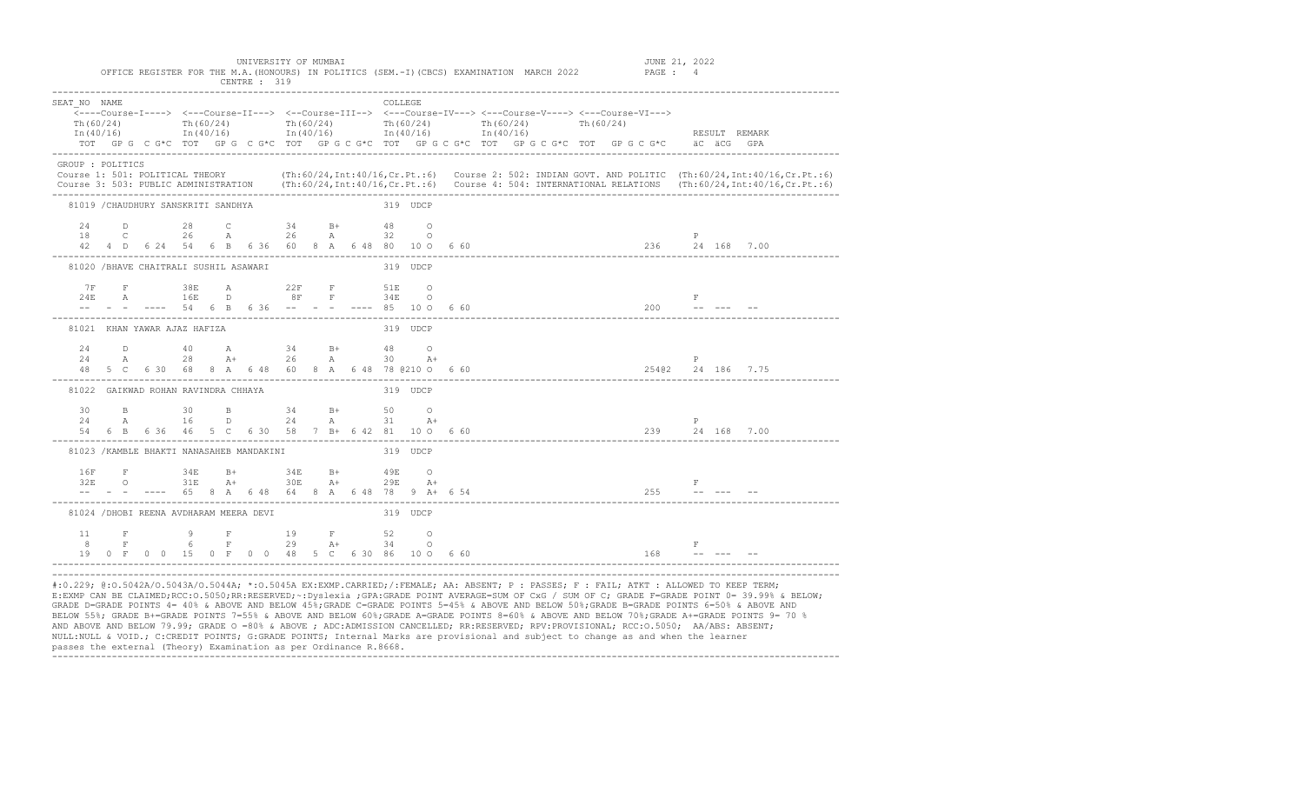| SEAT NO NAME                              |  |  |  |                                                                                                                                                                                                                                                                                                    |  |  | <b>COLLEGE</b> |          |  |  |  |  |  |           |                                                                                                                                                                                                                                    |                                                                                                                                                                                                                                  |
|-------------------------------------------|--|--|--|----------------------------------------------------------------------------------------------------------------------------------------------------------------------------------------------------------------------------------------------------------------------------------------------------|--|--|----------------|----------|--|--|--|--|--|-----------|------------------------------------------------------------------------------------------------------------------------------------------------------------------------------------------------------------------------------------|----------------------------------------------------------------------------------------------------------------------------------------------------------------------------------------------------------------------------------|
| Th (60/24)                                |  |  |  | $\overline{\langle}\text{---Course-I--->}$ $\langle-\text{--Course-II---}\rangle$ $\langle-\text{Course-III---}\rangle$ $\langle-\text{Course-IV---}\rangle$ $\langle-\text{--Course-V---}\rangle$ $\langle-\text{--Course-V---}\rangle$<br>Th (60/24) Th (60/24) Th (60/24) Th (60/24) Th (60/24) |  |  |                |          |  |  |  |  |  |           |                                                                                                                                                                                                                                    |                                                                                                                                                                                                                                  |
|                                           |  |  |  |                                                                                                                                                                                                                                                                                                    |  |  |                |          |  |  |  |  |  |           | In (40/16) 1n (40/16) 1n (40/16) 1n (40/16) 1n (40/16) 1n (40/16) 1n (40/16) RESULT REMARK                                                                                                                                         |                                                                                                                                                                                                                                  |
|                                           |  |  |  |                                                                                                                                                                                                                                                                                                    |  |  |                |          |  |  |  |  |  |           | TOT GPG C G*C TOT GPG C G*C TOT GPG C G*C TOT GPG C G*C TOT GPG C G*C TOT GPG C G*C äC äCG GPA                                                                                                                                     |                                                                                                                                                                                                                                  |
| GROUP : POLITICS                          |  |  |  |                                                                                                                                                                                                                                                                                                    |  |  |                |          |  |  |  |  |  |           |                                                                                                                                                                                                                                    |                                                                                                                                                                                                                                  |
|                                           |  |  |  |                                                                                                                                                                                                                                                                                                    |  |  |                |          |  |  |  |  |  |           |                                                                                                                                                                                                                                    | Course 1: 501: POLITICAL THEORY (Th:60/24, Int:40/16, Cr. Pt.:6) Course 2: 502: INDIAN GOVT. AND POLITIC (Th:60/24, Int:40/16, Cr. Pt.:6)<br>Course 3: 503: PUBLIC ADMINISTRATION (Th:60/24, Int:40/16, Cr. Pt.:6) Course 4: 504 |
|                                           |  |  |  |                                                                                                                                                                                                                                                                                                    |  |  |                |          |  |  |  |  |  |           |                                                                                                                                                                                                                                    |                                                                                                                                                                                                                                  |
| 81019 / CHAUDHURY SANSKRITI SANDHYA       |  |  |  |                                                                                                                                                                                                                                                                                                    |  |  | 319 UDCP       |          |  |  |  |  |  |           |                                                                                                                                                                                                                                    |                                                                                                                                                                                                                                  |
|                                           |  |  |  | 24 D 28 C 34 B+ 48 O                                                                                                                                                                                                                                                                               |  |  |                |          |  |  |  |  |  |           |                                                                                                                                                                                                                                    |                                                                                                                                                                                                                                  |
|                                           |  |  |  |                                                                                                                                                                                                                                                                                                    |  |  |                |          |  |  |  |  |  |           |                                                                                                                                                                                                                                    |                                                                                                                                                                                                                                  |
|                                           |  |  |  |                                                                                                                                                                                                                                                                                                    |  |  |                |          |  |  |  |  |  |           |                                                                                                                                                                                                                                    |                                                                                                                                                                                                                                  |
| 81020 / BHAVE CHAITRALI SUSHIL ASAWARI    |  |  |  |                                                                                                                                                                                                                                                                                                    |  |  | 319 UDCP       |          |  |  |  |  |  |           |                                                                                                                                                                                                                                    |                                                                                                                                                                                                                                  |
|                                           |  |  |  |                                                                                                                                                                                                                                                                                                    |  |  |                |          |  |  |  |  |  |           |                                                                                                                                                                                                                                    |                                                                                                                                                                                                                                  |
|                                           |  |  |  | 7 F F 38 E A 22 F 51 E O<br>24 E A 16 E D 8 F 54 E O<br>-- - - ---- 54 6 B 6 36 -- - - ---- 85 10 0 6 60                                                                                                                                                                                           |  |  |                |          |  |  |  |  |  |           | $\begin{array}{ccc} \mathbf{F} & & \\ \textbf{-} & & \textbf{-} & \\ \end{array}$                                                                                                                                                  |                                                                                                                                                                                                                                  |
|                                           |  |  |  |                                                                                                                                                                                                                                                                                                    |  |  |                |          |  |  |  |  |  |           |                                                                                                                                                                                                                                    |                                                                                                                                                                                                                                  |
| 81021 KHAN YAWAR AJAZ HAFIZA              |  |  |  |                                                                                                                                                                                                                                                                                                    |  |  |                | 319 UDCP |  |  |  |  |  |           |                                                                                                                                                                                                                                    |                                                                                                                                                                                                                                  |
|                                           |  |  |  | $24$ D 40 A 34 B+ 48 O                                                                                                                                                                                                                                                                             |  |  |                |          |  |  |  |  |  |           |                                                                                                                                                                                                                                    |                                                                                                                                                                                                                                  |
|                                           |  |  |  | $24 \qquad \qquad {\rm A} \qquad \qquad 28 \qquad \qquad {\rm A}+ \qquad \qquad 26 \qquad \qquad {\rm A} \qquad \qquad 30 \qquad \qquad {\rm A}+$                                                                                                                                                  |  |  |                |          |  |  |  |  |  |           | $\begin{array}{ccc} & & \text{P} \ & & 254@2 & 24 & 186 & 7.75 \end{array}$                                                                                                                                                        |                                                                                                                                                                                                                                  |
|                                           |  |  |  | $25$ A $26$ A $30$ A+<br>48 5 C 6 30 68 8 A 6 48 60 8 A 6 48 78 @ 210 0 6 60<br>--------                                                                                                                                                                                                           |  |  |                |          |  |  |  |  |  |           |                                                                                                                                                                                                                                    |                                                                                                                                                                                                                                  |
| 81022 GAIKWAD ROHAN RAVINDRA CHHAYA       |  |  |  |                                                                                                                                                                                                                                                                                                    |  |  | 319 UDCP       |          |  |  |  |  |  |           |                                                                                                                                                                                                                                    |                                                                                                                                                                                                                                  |
|                                           |  |  |  | 30 B 30 B 34 B+ 50 O                                                                                                                                                                                                                                                                               |  |  |                |          |  |  |  |  |  |           |                                                                                                                                                                                                                                    |                                                                                                                                                                                                                                  |
|                                           |  |  |  | $24$ A $16$ D $24$ A $31$ A+                                                                                                                                                                                                                                                                       |  |  |                |          |  |  |  |  |  | P         |                                                                                                                                                                                                                                    |                                                                                                                                                                                                                                  |
|                                           |  |  |  |                                                                                                                                                                                                                                                                                                    |  |  |                |          |  |  |  |  |  |           | — представка на представка на 1992 година на 1992 година.<br>1992 година в 1992 година 1993 година 1994 година 1999 година 1999 година 1999 година 1999 година 1999 година<br>1993 година 1994 година 1999 година 1999 година 1999 |                                                                                                                                                                                                                                  |
| 81023 / KAMBLE BHAKTI NANASAHEB MANDAKINI |  |  |  |                                                                                                                                                                                                                                                                                                    |  |  | 319 UDCP       |          |  |  |  |  |  |           |                                                                                                                                                                                                                                    |                                                                                                                                                                                                                                  |
|                                           |  |  |  | 16F F 34E B+ 34E B+ 49E O                                                                                                                                                                                                                                                                          |  |  |                |          |  |  |  |  |  |           |                                                                                                                                                                                                                                    |                                                                                                                                                                                                                                  |
|                                           |  |  |  |                                                                                                                                                                                                                                                                                                    |  |  |                |          |  |  |  |  |  |           | $\begin{array}{ccc}\n & & \text{F} \\ 255 & & \text{---} \\ \end{array}$                                                                                                                                                           |                                                                                                                                                                                                                                  |
|                                           |  |  |  | $32E$ 0 $31E$ $A+$ $30E$ $A+$ $29E$ $A+$<br>-- - ---- 65 8 A 6 48 64 8 A 6 48 78 9 A+ 6 54                                                                                                                                                                                                         |  |  |                |          |  |  |  |  |  |           |                                                                                                                                                                                                                                    |                                                                                                                                                                                                                                  |
| 81024 /DHOBI REENA AVDHARAM MEERA DEVI    |  |  |  |                                                                                                                                                                                                                                                                                                    |  |  | 319 UDCP       |          |  |  |  |  |  |           |                                                                                                                                                                                                                                    |                                                                                                                                                                                                                                  |
|                                           |  |  |  | 11 F 9 F 19 F 52 O                                                                                                                                                                                                                                                                                 |  |  |                |          |  |  |  |  |  |           |                                                                                                                                                                                                                                    |                                                                                                                                                                                                                                  |
| 8 <sup>1</sup>                            |  |  |  | F 6 F 29 A+ 34 O                                                                                                                                                                                                                                                                                   |  |  |                |          |  |  |  |  |  | $-$ F $-$ |                                                                                                                                                                                                                                    |                                                                                                                                                                                                                                  |
|                                           |  |  |  |                                                                                                                                                                                                                                                                                                    |  |  |                |          |  |  |  |  |  |           |                                                                                                                                                                                                                                    |                                                                                                                                                                                                                                  |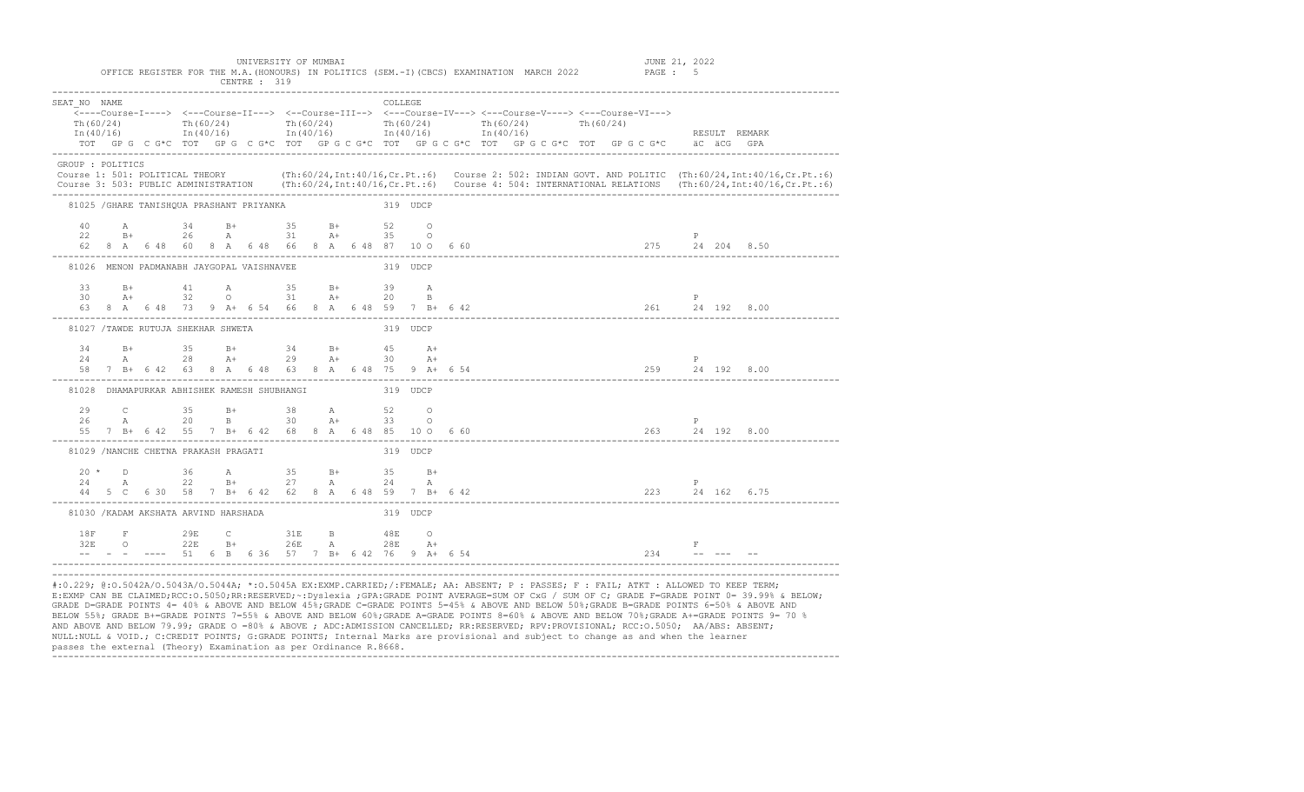| SEAT NO NAME                                         |  |  |  |  |                                                                |  |          | <b>COLLEGE</b> |          |  | Th(60/24) Th(60/24) Th(60/24) Th(60/24) Th(60/24) Th(60/24) Th(60/24)<br>$\ln(40/16)$ $\ln(40/16)$ $\ln(40/16)$ $\ln(40/16)$ $\ln(40/16)$ $\ln(40/16)$ $\ln(40/16)$<br>TOT GPG C G*C TOT GPG C G*C TOT GPG C G*C TOT GPG C G*C TOT GPG C G*C TOT GPG C G*C äC äCG GPA                                      |  |  |   | RESULT REMARK |  |
|------------------------------------------------------|--|--|--|--|----------------------------------------------------------------|--|----------|----------------|----------|--|------------------------------------------------------------------------------------------------------------------------------------------------------------------------------------------------------------------------------------------------------------------------------------------------------------|--|--|---|---------------|--|
| GROUP : POLITICS                                     |  |  |  |  |                                                                |  |          |                |          |  | Course 1: 501: POLITICAL THEORY (Th:60/24, Int:40/16, Cr. Pt.:6) Course 2: 502: INDIAN GOVT. AND POLITIC (Th:60/24, Int:40/16, Cr. Pt.:6)<br>Course 3: 503: PUBLIC ADMINISTRATION (Th:60/24, Int:40/16, Cr. Pt.:6) Course 4: 504: INTERNATIONAL RELATIONS (Th:60/24, Int:40/16, Cr. Pt.:6)                 |  |  |   |               |  |
| 81025 / GHARE TANISHQUA PRASHANT PRIYANKA            |  |  |  |  |                                                                |  | 319 UDCP |                |          |  |                                                                                                                                                                                                                                                                                                            |  |  |   |               |  |
|                                                      |  |  |  |  | $22$ B+ $26$ A $31$ B+ $35$ B+ $52$ O<br>22 B+ 26 A 31 A+ 35 O |  |          |                |          |  |                                                                                                                                                                                                                                                                                                            |  |  | P |               |  |
| 81026 MENON PADMANABH JAYGOPAL VAISHNAVEE 319 UDCP   |  |  |  |  |                                                                |  |          |                |          |  |                                                                                                                                                                                                                                                                                                            |  |  |   |               |  |
|                                                      |  |  |  |  | 33 B+ 41 A 35 B+ 39 A                                          |  |          |                |          |  | $30$ A+ $32$ O $31$ A+ $20$ B<br>63 8 A 6 48 73 9 A+ 6 54 66 8 A 6 48 59 7 B+ 6 42                                                                                                                                                                                                                         |  |  |   |               |  |
| 81027 /TAWDE RUTUJA SHEKHAR SHWETA                   |  |  |  |  |                                                                |  | 319 UDCP |                |          |  |                                                                                                                                                                                                                                                                                                            |  |  |   |               |  |
|                                                      |  |  |  |  | 34 B+ 35 B+ 34 B+ 45 A+<br>24 A 28 A+ 29 A+ 30                 |  |          |                | $A+$     |  |                                                                                                                                                                                                                                                                                                            |  |  | P |               |  |
| 81028 DHAMAPURKAR ABHISHEK RAMESH SHUBHANGI 319 UDCP |  |  |  |  |                                                                |  |          |                |          |  |                                                                                                                                                                                                                                                                                                            |  |  |   |               |  |
|                                                      |  |  |  |  | 29 C 35 B+ 38 A 52 O<br>26 A 20 B 30 A+ 33 O                   |  |          |                |          |  |                                                                                                                                                                                                                                                                                                            |  |  |   |               |  |
| 81029 /NANCHE CHETNA PRAKASH PRAGATI                 |  |  |  |  |                                                                |  |          |                | 319 UDCP |  |                                                                                                                                                                                                                                                                                                            |  |  |   |               |  |
|                                                      |  |  |  |  | $20 * D$ 36 A 35 B+ 35 B+<br>$24$ A $22$ B+ $27$ A $24$ A      |  |          |                |          |  | $24$ A $22$ B+ $27$ A $24$ A P P 27 5 162 6.75                                                                                                                                                                                                                                                             |  |  |   |               |  |
| 81030 / KADAM AKSHATA ARVIND HARSHADA                |  |  |  |  |                                                                |  |          |                | 319 UDCP |  |                                                                                                                                                                                                                                                                                                            |  |  |   |               |  |
|                                                      |  |  |  |  |                                                                |  |          |                |          |  | $\frac{1}{32E}$ $\frac{1}{22E}$ $\frac{1}{22E}$ $\frac{1}{B^+}$ $\frac{1}{26E}$ $\frac{1}{A}$ $\frac{1}{28E}$ $\frac{1}{A^+}$ $\frac{1}{28E}$ $\frac{1}{A^+}$ $\frac{1}{28E}$ $\frac{1}{A^+}$ $\frac{1}{28E}$ $\frac{1}{28E}$ $\frac{1}{A^+}$ $\frac{1}{28E}$ $\frac{1}{28E}$ $\frac{1}{24}$ $\frac{1}{24$ |  |  |   |               |  |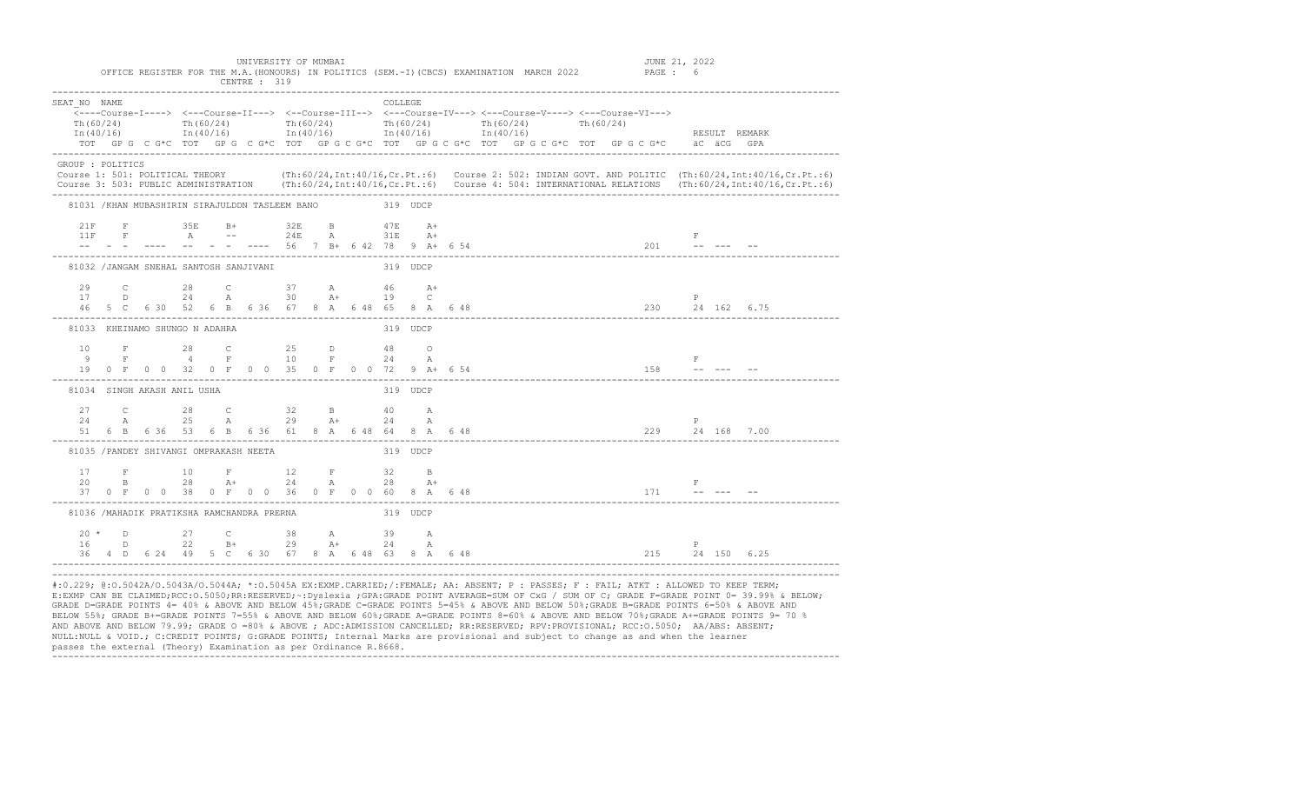| SEAT NO NAME                                            |  |  |  |  |                                                          |  |          | COLLEGE  |       |  |  |                                                                                                     |  |  |                                                 |                                                                                                                                                                                                                                                                                                                              |                                                                                                                                               |
|---------------------------------------------------------|--|--|--|--|----------------------------------------------------------|--|----------|----------|-------|--|--|-----------------------------------------------------------------------------------------------------|--|--|-------------------------------------------------|------------------------------------------------------------------------------------------------------------------------------------------------------------------------------------------------------------------------------------------------------------------------------------------------------------------------------|-----------------------------------------------------------------------------------------------------------------------------------------------|
| Th (60/24)                                              |  |  |  |  |                                                          |  |          |          |       |  |  | Th(60/24) Th(60/24) Th(60/24) Th(60/24) Th(60/24) Th(60/24)                                         |  |  |                                                 |                                                                                                                                                                                                                                                                                                                              |                                                                                                                                               |
|                                                         |  |  |  |  |                                                          |  |          |          |       |  |  | $\text{In (40/16)}$ $\text{In (40/16)}$ $\text{In (40/16)}$ $\text{In (40/16)}$ $\text{In (40/16)}$ |  |  |                                                 | RESULT REMARK                                                                                                                                                                                                                                                                                                                |                                                                                                                                               |
|                                                         |  |  |  |  |                                                          |  |          |          |       |  |  |                                                                                                     |  |  |                                                 | TOT GPG CG*C TOT GPG CG*C TOT GPG CG*C TOT GPG CG*C TOT GPG CG*C TOT GPG CG*C aC aCG GPA                                                                                                                                                                                                                                     |                                                                                                                                               |
| GROUP : POLITICS                                        |  |  |  |  |                                                          |  |          |          |       |  |  |                                                                                                     |  |  |                                                 |                                                                                                                                                                                                                                                                                                                              |                                                                                                                                               |
|                                                         |  |  |  |  |                                                          |  |          |          |       |  |  |                                                                                                     |  |  |                                                 |                                                                                                                                                                                                                                                                                                                              | Course 1: 501: POLITICAL THEORY (Th:60/24, Int:40/16, Cr. Pt.:6) Course 2: 502: INDIAN GOVT. AND POLITIC (Th:60/24, Int:40/16, Cr. Pt.:6)     |
|                                                         |  |  |  |  |                                                          |  |          |          |       |  |  |                                                                                                     |  |  |                                                 |                                                                                                                                                                                                                                                                                                                              | Course 3: 503: PUBLIC ADMINISTRATION (Th:60/24, Int:40/16, Cr. Pt.:6) Course 4: 504: INTERNATIONAL RELATIONS (Th:60/24, Int:40/16, Cr. Pt.:6) |
| 81031 /KHAN MUBASHIRIN SIRAJULDDN TASLEEM BANO 319 UDCP |  |  |  |  |                                                          |  |          |          |       |  |  |                                                                                                     |  |  |                                                 |                                                                                                                                                                                                                                                                                                                              |                                                                                                                                               |
|                                                         |  |  |  |  | 21 F 35 B+ 32 B 47 B A+                                  |  |          |          |       |  |  |                                                                                                     |  |  |                                                 |                                                                                                                                                                                                                                                                                                                              |                                                                                                                                               |
|                                                         |  |  |  |  | $11F \tF \tA \t-- \t24E \tA \t31E \tA +$                 |  |          |          |       |  |  |                                                                                                     |  |  | <b>Example 200</b> Fig. 1. The Editor of Eq. 1. |                                                                                                                                                                                                                                                                                                                              |                                                                                                                                               |
|                                                         |  |  |  |  |                                                          |  |          |          |       |  |  |                                                                                                     |  |  |                                                 |                                                                                                                                                                                                                                                                                                                              |                                                                                                                                               |
| 81032 /JANGAM SNEHAL SANTOSH SANJIVANI                  |  |  |  |  |                                                          |  |          | 319 UDCP |       |  |  |                                                                                                     |  |  |                                                 |                                                                                                                                                                                                                                                                                                                              |                                                                                                                                               |
|                                                         |  |  |  |  |                                                          |  |          |          |       |  |  |                                                                                                     |  |  |                                                 |                                                                                                                                                                                                                                                                                                                              |                                                                                                                                               |
|                                                         |  |  |  |  | $29$ C $28$ C $37$ A $46$ A+<br>17 D $24$ A $30$ A+ 19 C |  |          |          |       |  |  |                                                                                                     |  |  | P                                               |                                                                                                                                                                                                                                                                                                                              |                                                                                                                                               |
|                                                         |  |  |  |  |                                                          |  |          |          |       |  |  |                                                                                                     |  |  |                                                 |                                                                                                                                                                                                                                                                                                                              |                                                                                                                                               |
| 81033 KHEINAMO SHUNGO N ADAHRA                          |  |  |  |  |                                                          |  |          | 319 UDCP |       |  |  |                                                                                                     |  |  |                                                 |                                                                                                                                                                                                                                                                                                                              |                                                                                                                                               |
|                                                         |  |  |  |  |                                                          |  |          |          |       |  |  |                                                                                                     |  |  |                                                 |                                                                                                                                                                                                                                                                                                                              |                                                                                                                                               |
|                                                         |  |  |  |  |                                                          |  |          |          |       |  |  |                                                                                                     |  |  |                                                 |                                                                                                                                                                                                                                                                                                                              |                                                                                                                                               |
|                                                         |  |  |  |  | 19 0 F O O 32 0 F O O 35 0 F O O 72 9 A+ 6 54            |  |          |          |       |  |  |                                                                                                     |  |  |                                                 | $\begin{array}{ccc} & & & \text{if} & & \\ 158 & & & \text{if} & & \text{if} & \\ & & & \text{if} & & \text{if} & \\ & & & \text{if} & & \text{if} & \\ & & & \text{if} & & \text{if} & \\ & & & \text{if} & & \text{if} & \\ & & & \text{if} & & \text{if} & \\ & & & \text{if} & & \text{if} & \text{if} & \\ \end{array}$ |                                                                                                                                               |
| 81034 SINGH AKASH ANIL USHA                             |  |  |  |  |                                                          |  |          | 319 UDCP |       |  |  |                                                                                                     |  |  |                                                 |                                                                                                                                                                                                                                                                                                                              |                                                                                                                                               |
|                                                         |  |  |  |  | 27 C 28 C 32 B 40 A                                      |  |          |          |       |  |  |                                                                                                     |  |  |                                                 |                                                                                                                                                                                                                                                                                                                              |                                                                                                                                               |
| 24                                                      |  |  |  |  | A 25 A 29 A+ 24                                          |  |          |          | A     |  |  |                                                                                                     |  |  |                                                 |                                                                                                                                                                                                                                                                                                                              |                                                                                                                                               |
|                                                         |  |  |  |  | 51 6 B 6 36 53 6 B 6 36 61 8 A 6 48 64 8 A 6 48          |  |          |          |       |  |  |                                                                                                     |  |  |                                                 | $\begin{array}{cccc} & & & \text{P} & & \\ & & 229 & & 24 & 168 & 7.00 \end{array}$                                                                                                                                                                                                                                          |                                                                                                                                               |
| 81035 / PANDEY SHIVANGI OMPRAKASH NEETA                 |  |  |  |  |                                                          |  |          | 319 UDCP |       |  |  |                                                                                                     |  |  |                                                 |                                                                                                                                                                                                                                                                                                                              |                                                                                                                                               |
|                                                         |  |  |  |  | 17 F 10 F 12 F 32 B                                      |  |          |          |       |  |  |                                                                                                     |  |  |                                                 |                                                                                                                                                                                                                                                                                                                              |                                                                                                                                               |
| 20                                                      |  |  |  |  | B 28 A+ 24 A 28                                          |  |          |          | $A +$ |  |  |                                                                                                     |  |  | <b>Experience of the State State</b>            |                                                                                                                                                                                                                                                                                                                              |                                                                                                                                               |
|                                                         |  |  |  |  |                                                          |  |          |          |       |  |  |                                                                                                     |  |  | 37 0 F 0 0 38 0 F 0 0 36 0 F 0 0 60 8 A 6 48    |                                                                                                                                                                                                                                                                                                                              |                                                                                                                                               |
| 81036 /MAHADIK PRATIKSHA RAMCHANDRA PRERNA              |  |  |  |  |                                                          |  | 319 UDCP |          |       |  |  |                                                                                                     |  |  |                                                 |                                                                                                                                                                                                                                                                                                                              |                                                                                                                                               |
|                                                         |  |  |  |  | $20 * D$ 27 C 38 A 39 A                                  |  |          |          |       |  |  |                                                                                                     |  |  |                                                 |                                                                                                                                                                                                                                                                                                                              |                                                                                                                                               |
|                                                         |  |  |  |  |                                                          |  |          |          |       |  |  |                                                                                                     |  |  |                                                 |                                                                                                                                                                                                                                                                                                                              |                                                                                                                                               |
|                                                         |  |  |  |  |                                                          |  |          |          |       |  |  |                                                                                                     |  |  |                                                 |                                                                                                                                                                                                                                                                                                                              |                                                                                                                                               |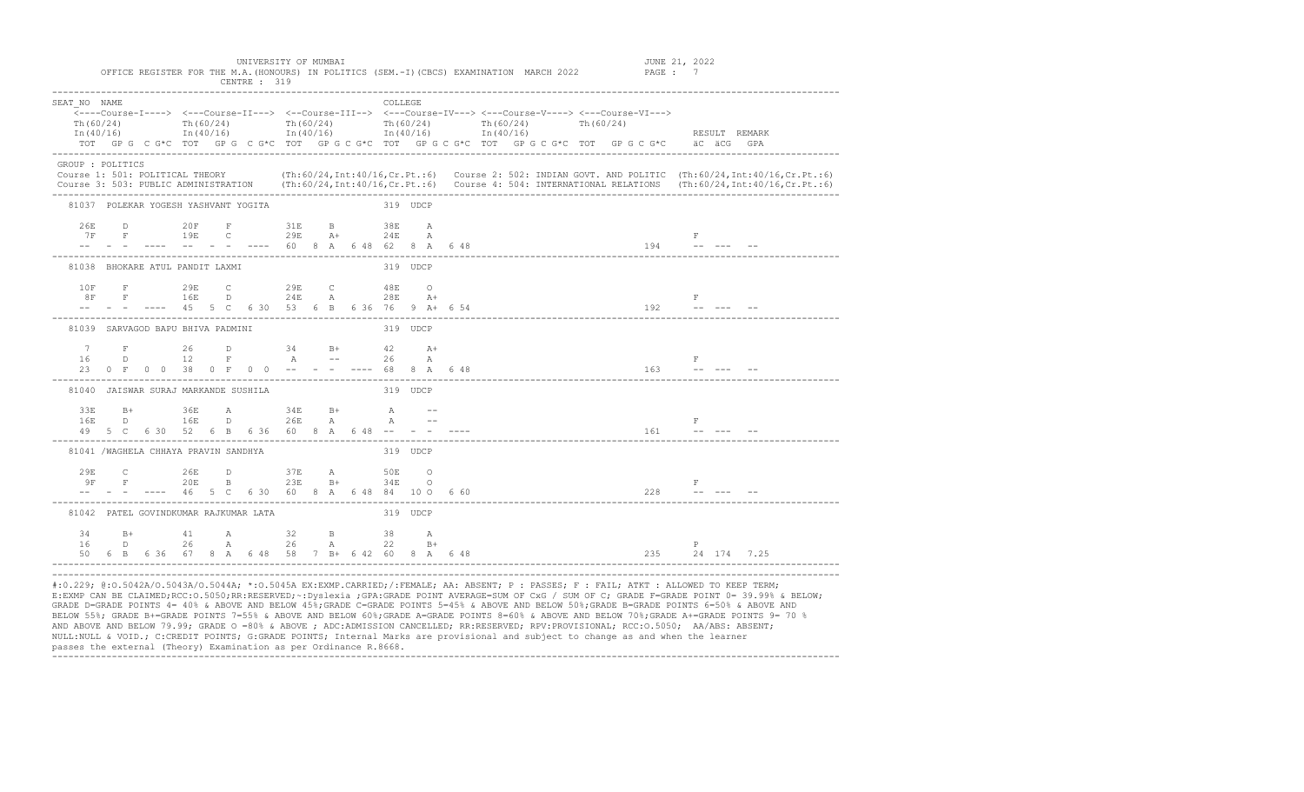| SEAT NO NAME     |                                      |  |                                                                                                                                                                                                                                                                                                 |  |  | COLLEGE  |  |  |  |  |  |                                        |                                                                                                |         |                                                                                                                                               |
|------------------|--------------------------------------|--|-------------------------------------------------------------------------------------------------------------------------------------------------------------------------------------------------------------------------------------------------------------------------------------------------|--|--|----------|--|--|--|--|--|----------------------------------------|------------------------------------------------------------------------------------------------|---------|-----------------------------------------------------------------------------------------------------------------------------------------------|
| Th (60/24)       |                                      |  | $\overline{\langle}\text{---Course-I--->}$ $\langle-\text{--Course-II---}\rangle$ $\langle-\text{Course-III---}\rangle$ $\langle-\text{--Course-IV---}\rangle$ $\langle-\text{--Course-V---}\rangle$ $\langle-\text{--Course-V---}\rangle$<br>Th(60/24) Th(60/24) Th(60/24) Th(60/24) Th(60/24) |  |  |          |  |  |  |  |  |                                        |                                                                                                |         |                                                                                                                                               |
|                  |                                      |  | $\ln(40/16)$ $\ln(40/16)$ $\ln(40/16)$ $\ln(40/16)$ $\ln(40/16)$ $\ln(40/16)$                                                                                                                                                                                                                   |  |  |          |  |  |  |  |  |                                        | RESULT REMARK                                                                                  |         |                                                                                                                                               |
|                  |                                      |  | TOT GPG CG*C TOT GPG CG*C TOT GPG CG*C TOT GPG CG*C TOT GPG CG*C TOT GPG CG*C äC äCG GPA                                                                                                                                                                                                        |  |  |          |  |  |  |  |  |                                        |                                                                                                |         |                                                                                                                                               |
| GROUP : POLITICS |                                      |  |                                                                                                                                                                                                                                                                                                 |  |  |          |  |  |  |  |  |                                        |                                                                                                |         |                                                                                                                                               |
|                  |                                      |  |                                                                                                                                                                                                                                                                                                 |  |  |          |  |  |  |  |  |                                        |                                                                                                |         | Course 1: 501: POLITICAL THEORY (Th:60/24, Int:40/16, Cr. Pt.:6) Course 2: 502: INDIAN GOVT. AND POLITIC (Th:60/24, Int:40/16, Cr. Pt.:6)     |
|                  |                                      |  |                                                                                                                                                                                                                                                                                                 |  |  |          |  |  |  |  |  |                                        |                                                                                                |         | Course 3: 503: PUBLIC ADMINISTRATION (Th:60/24, Int:40/16, Cr. Pt.:6) Course 4: 504: INTERNATIONAL RELATIONS (Th:60/24, Int:40/16, Cr. Pt.:6) |
|                  | 81037 POLEKAR YOGESH YASHVANT YOGITA |  |                                                                                                                                                                                                                                                                                                 |  |  | 319 UDCP |  |  |  |  |  |                                        |                                                                                                |         |                                                                                                                                               |
| 26E              |                                      |  | D 20F F 31E B                                                                                                                                                                                                                                                                                   |  |  | 38E A    |  |  |  |  |  |                                        |                                                                                                |         |                                                                                                                                               |
|                  |                                      |  | 7F F 19E C 29E A+ 24E A                                                                                                                                                                                                                                                                         |  |  |          |  |  |  |  |  |                                        | <b>Figure</b>                                                                                  |         |                                                                                                                                               |
|                  |                                      |  |                                                                                                                                                                                                                                                                                                 |  |  |          |  |  |  |  |  |                                        |                                                                                                |         |                                                                                                                                               |
|                  | 81038 BHOKARE ATUL PANDIT LAXMI      |  |                                                                                                                                                                                                                                                                                                 |  |  | 319 UDCP |  |  |  |  |  |                                        |                                                                                                |         |                                                                                                                                               |
|                  |                                      |  |                                                                                                                                                                                                                                                                                                 |  |  |          |  |  |  |  |  |                                        |                                                                                                |         |                                                                                                                                               |
|                  |                                      |  | $\begin{tabular}{cccccccccc} 10\text{F} & \text{F} & \text{29E} & \text{C} & \text{29E} & \text{C} & \text{48E} & \text{O} \\ 8\text{F} & \text{F} & \text{16E} & \text{D} & \text{24E} & \text{A} & \text{28E} & \text{A+} \end{tabular}$                                                      |  |  |          |  |  |  |  |  |                                        |                                                                                                | $F = 1$ |                                                                                                                                               |
|                  |                                      |  |                                                                                                                                                                                                                                                                                                 |  |  |          |  |  |  |  |  |                                        |                                                                                                |         |                                                                                                                                               |
|                  | 81039 SARVAGOD BAPU BHIVA PADMINI    |  |                                                                                                                                                                                                                                                                                                 |  |  | 319 UDCP |  |  |  |  |  |                                        |                                                                                                |         |                                                                                                                                               |
|                  |                                      |  |                                                                                                                                                                                                                                                                                                 |  |  |          |  |  |  |  |  |                                        |                                                                                                |         |                                                                                                                                               |
|                  |                                      |  |                                                                                                                                                                                                                                                                                                 |  |  |          |  |  |  |  |  |                                        | <b>Experience of the Second Fig.</b>                                                           |         |                                                                                                                                               |
|                  |                                      |  | 23 0 F 0 0 38 0 F 0 0 -- - - ---- 68 8 A 6 48                                                                                                                                                                                                                                                   |  |  |          |  |  |  |  |  |                                        | $163$ ------                                                                                   |         |                                                                                                                                               |
|                  | 81040 JAISWAR SURAJ MARKANDE SUSHILA |  |                                                                                                                                                                                                                                                                                                 |  |  | 319 UDCP |  |  |  |  |  |                                        |                                                                                                |         |                                                                                                                                               |
| 33E              |                                      |  | B+ 36E A 34E B+ A --                                                                                                                                                                                                                                                                            |  |  |          |  |  |  |  |  |                                        |                                                                                                |         |                                                                                                                                               |
| 16E              |                                      |  |                                                                                                                                                                                                                                                                                                 |  |  |          |  |  |  |  |  |                                        | $\mathbb{F}$ . The $\mathbb{F}$                                                                |         |                                                                                                                                               |
|                  |                                      |  | 16E D 16E D 26E A A --<br>49 5 C 6 30 52 6 B 6 36 60 8 A 6 48 -- - - ----                                                                                                                                                                                                                       |  |  |          |  |  |  |  |  | -------------------------------------- | $161$ ------                                                                                   |         |                                                                                                                                               |
|                  | 81041 /WAGHELA CHHAYA PRAVIN SANDHYA |  |                                                                                                                                                                                                                                                                                                 |  |  | 319 UDCP |  |  |  |  |  |                                        |                                                                                                |         |                                                                                                                                               |
|                  |                                      |  | 29E C 26E D 37E A 50E O                                                                                                                                                                                                                                                                         |  |  |          |  |  |  |  |  |                                        |                                                                                                |         |                                                                                                                                               |
|                  |                                      |  | 9 F F 20 E 23 E + 34 E O                                                                                                                                                                                                                                                                        |  |  |          |  |  |  |  |  |                                        | $\begin{array}{ccc}\n & & \text{F} \\ 228 & & & \text{-} & \text{-} & \text{-} \\ \end{array}$ |         |                                                                                                                                               |
|                  |                                      |  | $-  --$ 46 5 C 6 30 60 8 A 6 48 84 10 O 6 60                                                                                                                                                                                                                                                    |  |  |          |  |  |  |  |  |                                        |                                                                                                |         |                                                                                                                                               |
|                  |                                      |  | 81042 PATEL GOVINDKUMAR RAJKUMAR LATA                                                                                                                                                                                                                                                           |  |  | 319 UDCP |  |  |  |  |  |                                        |                                                                                                |         |                                                                                                                                               |
|                  |                                      |  | 34 B+ 41 A 32 B 38 A                                                                                                                                                                                                                                                                            |  |  |          |  |  |  |  |  |                                        |                                                                                                |         |                                                                                                                                               |
|                  |                                      |  | 16 D 26 A 26 A 22 B+<br>50 6 B 6 36 67 8 A 6 48 58 7 B+ 6 42 60 8 A 6 48                                                                                                                                                                                                                        |  |  |          |  |  |  |  |  |                                        | $\mathbf{P}$                                                                                   |         |                                                                                                                                               |
|                  |                                      |  |                                                                                                                                                                                                                                                                                                 |  |  |          |  |  |  |  |  |                                        | 235 24 174 7.25                                                                                |         |                                                                                                                                               |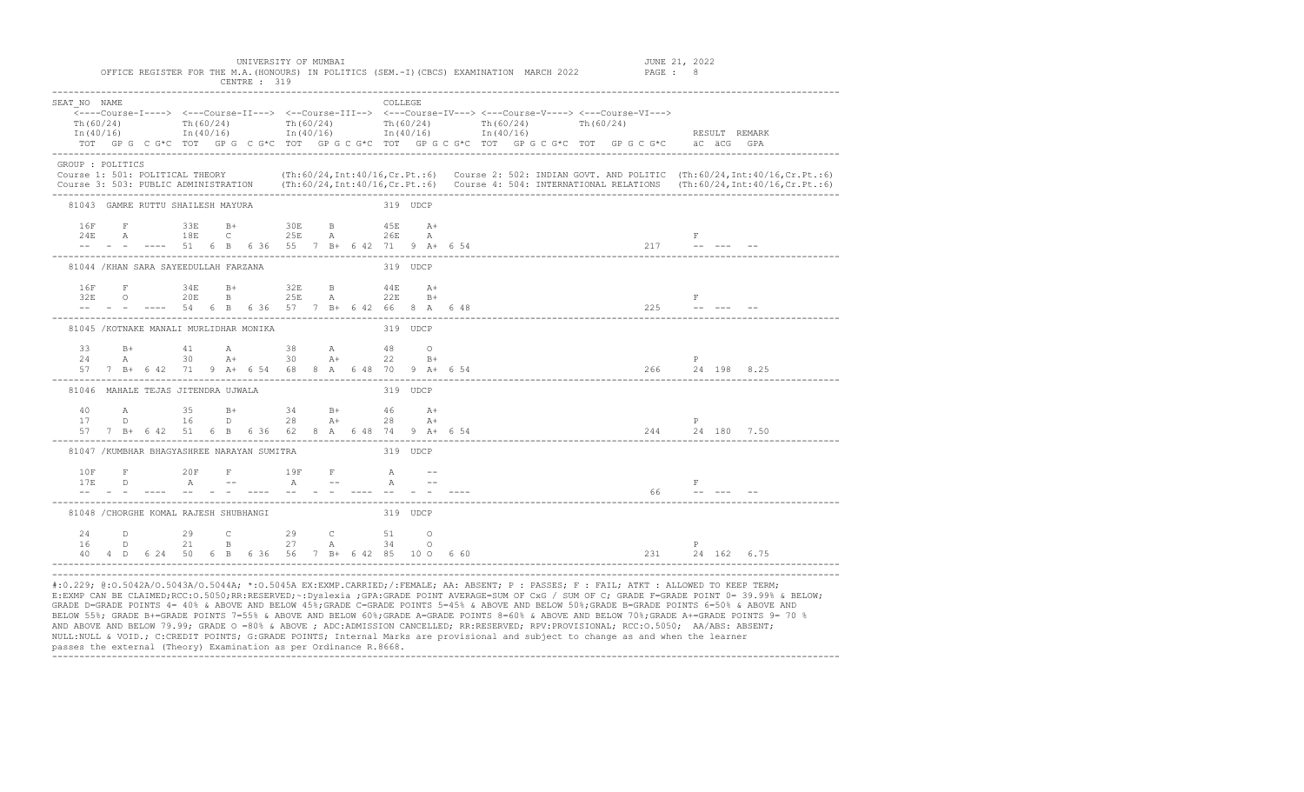|                                                                                                                                                                                                                                                                                                                | OFFICE REGISTER FOR THE M.A. (HONOURS) IN POLITICS (SEM.-I) (CBCS) EXAMINATION MARCH 2022                                                                                                                                                                                                                                                                                                                                                                  |  | UNIVERSITY OF MUMBAI<br>CENTRE: 319 |  |             |          |  |  |  |  |  | JUNE 21, 2022<br>PAGE : 8 |                   |  |               |  |  |
|----------------------------------------------------------------------------------------------------------------------------------------------------------------------------------------------------------------------------------------------------------------------------------------------------------------|------------------------------------------------------------------------------------------------------------------------------------------------------------------------------------------------------------------------------------------------------------------------------------------------------------------------------------------------------------------------------------------------------------------------------------------------------------|--|-------------------------------------|--|-------------|----------|--|--|--|--|--|---------------------------|-------------------|--|---------------|--|--|
| SEAT NO NAME<br>Th(60/24)                                                                                                                                                                                                                                                                                      | <----Course-I----> <---Course-II---> <--Course-III--> <--Course-IV---> <---Course-V----> <---Course-VI---><br>$\text{Th}(60/24)$ $\text{Th}(60/24)$ $\text{Th}(60/24)$ $\text{Th}(60/24)$ $\text{Th}(60/24)$ $\text{Th}(60/24)$<br>$\text{In (40/16)}$ $\text{In (40/16)}$ $\text{In (40/16)}$ $\text{In (40/16)}$ $\text{In (40/16)}$ $\text{In (40/16)}$<br>TOT GPG CG*C TOT GPG CG*C TOT GPGCG*C TOT GPGCG*C TOT GPGCG*C TOT GPGCG*C GPGCG*C äC äCG GPA |  |                                     |  |             | COLLEGE  |  |  |  |  |  |                           |                   |  | RESULT REMARK |  |  |
| GROUP : POLITICS<br>Course 1: 501: POLITICAL THEORY (Th:60/24, Int:40/16, Cr. Pt.:6) Course 2: 502: INDIAN GOVT. AND POLITIC (Th:60/24, Int:40/16, Cr. Pt.:6)<br>Course 3: 503: PUBLIC ADMINISTRATION (Th:60/24, Int:40/16, Cr. Pt.:6) Course 4: 504: INTERNATIONAL RELATIONS (Th:60/24, Int:40/16, Cr. Pt.:6) |                                                                                                                                                                                                                                                                                                                                                                                                                                                            |  |                                     |  |             |          |  |  |  |  |  |                           |                   |  |               |  |  |
|                                                                                                                                                                                                                                                                                                                | 81043 GAMRE RUTTU SHAILESH MAYURA                                                                                                                                                                                                                                                                                                                                                                                                                          |  |                                     |  |             | 319 UDCP |  |  |  |  |  |                           |                   |  |               |  |  |
| 16F                                                                                                                                                                                                                                                                                                            | F 33E B+ 30E B 45E A+<br>24E A 18E C 25E A 26E A<br>-- - - ---- 51 6 B 6 36 55 7 B+ 6 42 71 9 A+ 6 54                                                                                                                                                                                                                                                                                                                                                      |  |                                     |  |             |          |  |  |  |  |  | $217$ -- ---              | F                 |  |               |  |  |
|                                                                                                                                                                                                                                                                                                                | 81044 / KHAN SARA SAYEEDULLAH FARZANA                                                                                                                                                                                                                                                                                                                                                                                                                      |  |                                     |  |             | 319 UDCP |  |  |  |  |  |                           |                   |  |               |  |  |
| 16F                                                                                                                                                                                                                                                                                                            | $F$ 34E<br>$32\text{E} \qquad \qquad \text{O} \qquad \qquad 20\text{E} \qquad \qquad \text{B} \qquad \qquad 25\text{E} \qquad \qquad \text{A} \qquad \qquad 22\text{E} \qquad \qquad \text{B+}$<br>-- - - ---- 54 6 B 6 36 57 7 B+ 6 42 66 8 A 6 48                                                                                                                                                                                                        |  | B+ 32E                              |  | B 44E A+    |          |  |  |  |  |  | 225                       | <b>Experience</b> |  |               |  |  |
|                                                                                                                                                                                                                                                                                                                | 81045 / KOTNAKE MANALI MURLIDHAR MONIKA                                                                                                                                                                                                                                                                                                                                                                                                                    |  |                                     |  |             | 319 UDCP |  |  |  |  |  |                           |                   |  |               |  |  |
|                                                                                                                                                                                                                                                                                                                | 33 B+ 41 A 38 A 48 O<br>$24$ A 30 A+ 30 A+ 22 B+<br>57 7 B+ 6 42 71 9 A+ 6 54 68 8 A 6 48 70 9 A+ 6 54                                                                                                                                                                                                                                                                                                                                                     |  |                                     |  |             |          |  |  |  |  |  | 266 24 198 8.25           | P                 |  |               |  |  |
|                                                                                                                                                                                                                                                                                                                | 81046 MAHALE TEJAS JITENDRA UJWALA                                                                                                                                                                                                                                                                                                                                                                                                                         |  |                                     |  |             | 319 UDCP |  |  |  |  |  |                           |                   |  |               |  |  |
|                                                                                                                                                                                                                                                                                                                | 40 A 35 B+ 34 B+ 46 A+<br>$17$ D $16$ D $28$ A+ $28$ A+<br>57 7 B+ 6 42 51 6 B 6 36 62 8 A 6 48 74 9 A+ 6 54                                                                                                                                                                                                                                                                                                                                               |  |                                     |  |             |          |  |  |  |  |  | 244 24 180 7.50           | P                 |  |               |  |  |
|                                                                                                                                                                                                                                                                                                                | 81047 / KUMBHAR BHAGYASHREE NARAYAN SUMITRA                                                                                                                                                                                                                                                                                                                                                                                                                |  |                                     |  |             | 319 UDCP |  |  |  |  |  |                           |                   |  |               |  |  |
| 10F<br>17E                                                                                                                                                                                                                                                                                                     | <b>F</b> 20 F<br>D A -- A -- A --<br><u>oo sa dhigaala doonaa dhaan doonaa dhigaalaa dhaan dh</u>                                                                                                                                                                                                                                                                                                                                                          |  | <b>F</b> 19F                        |  | $F$ and $A$ |          |  |  |  |  |  | 66                        | $\mathbf{F}$      |  |               |  |  |

|          |   | 81048 / CHORGHE KOMAL RAJESH SHUBHANGI                                            |        |  |              |  |                                             |    | 319 UDCP                                                            |  |  |     |  |             |  |
|----------|---|-----------------------------------------------------------------------------------|--------|--|--------------|--|---------------------------------------------|----|---------------------------------------------------------------------|--|--|-----|--|-------------|--|
| 24<br>16 | D | $29$ C<br>$\overline{D}$ and $\overline{D}$ and $\overline{D}$ and $\overline{D}$ | $21$ R |  | 29<br>$27$ A |  | $\mathbf{H} = \mathbf{H} \times \mathbf{C}$ | 34 | 51 0                                                                |  |  |     |  |             |  |
|          |   |                                                                                   |        |  |              |  |                                             |    | 40  4  D  6  24  50  6  B  6  36  56  7  B  6  42  85  10  0  6  60 |  |  | 231 |  | 24 162 6.75 |  |
|          |   |                                                                                   |        |  |              |  |                                             |    |                                                                     |  |  |     |  |             |  |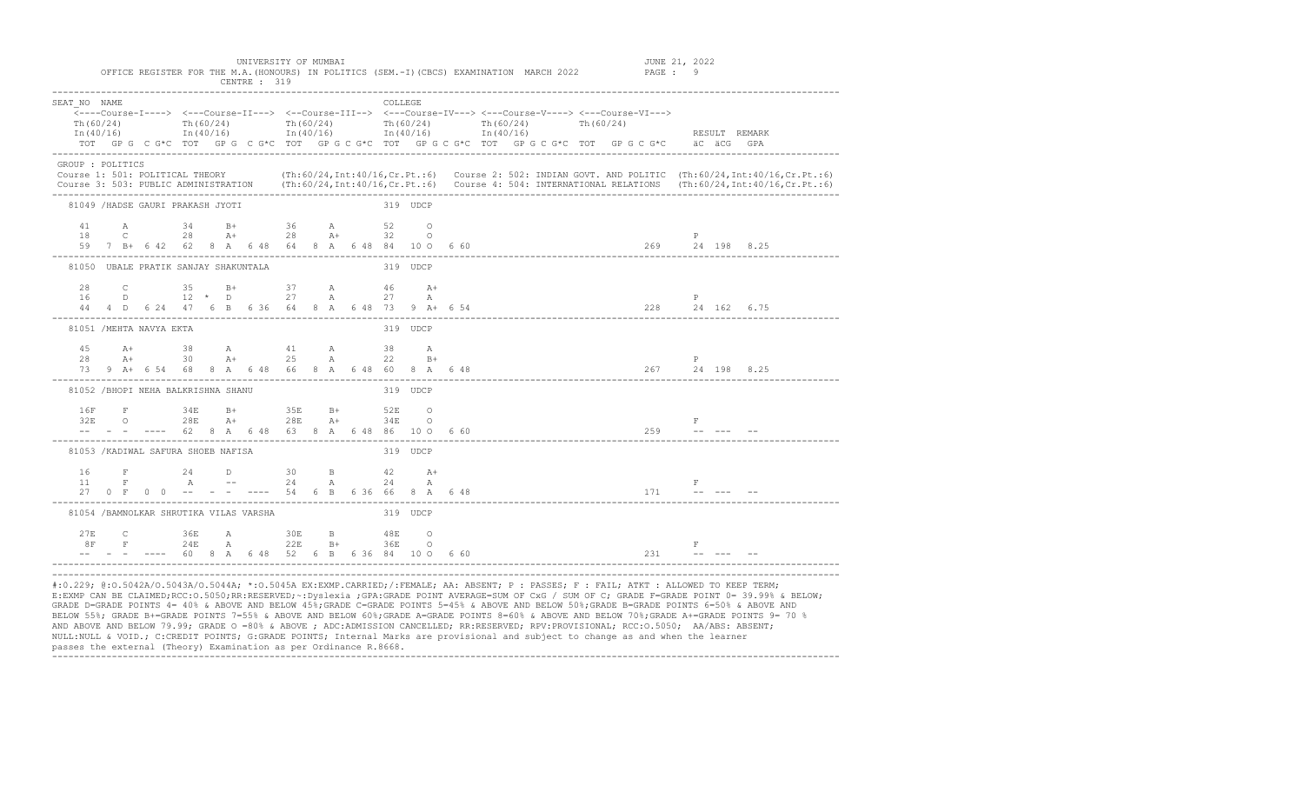OFFICE REGISTER FOR THE M.A. (HONOURS) IN POLITICS (SEM.-I)(CBCS) EXAMINATION MARCH 2022

|                                                                                                                                                                                                                                                                                                                |                   |                   |                    |           |   |      | CENTRE : 319 |                                                                                                                   |              |                  |                 |             |          |                                                                                                                                                                                                                                                               |  |  |                           |  |     |                                 |                                                                                                                                                                                                                                                                                                                                                                                                                                                                     |  |  |
|----------------------------------------------------------------------------------------------------------------------------------------------------------------------------------------------------------------------------------------------------------------------------------------------------------------|-------------------|-------------------|--------------------|-----------|---|------|--------------|-------------------------------------------------------------------------------------------------------------------|--------------|------------------|-----------------|-------------|----------|---------------------------------------------------------------------------------------------------------------------------------------------------------------------------------------------------------------------------------------------------------------|--|--|---------------------------|--|-----|---------------------------------|---------------------------------------------------------------------------------------------------------------------------------------------------------------------------------------------------------------------------------------------------------------------------------------------------------------------------------------------------------------------------------------------------------------------------------------------------------------------|--|--|
| SEAT NO NAME<br>Th(60/24)<br>In $(40/16)$                                                                                                                                                                                                                                                                      |                   |                   | Th $(60/24)$       |           |   |      |              | $Th(60/24)$ Th $(60/24)$<br>$In (40/16)$ $In (40/16)$ $In (40/16)$                                                |              |                  | COLLEGE         |             |          | <----Course-I----> <---Course-II---> <--Course-III--> <---Course-IV---> <---Course-V----> <---Course-VI---><br>$Th(60/24)$ Th $(60/24)$<br>In (40/16)<br>TOT GP G C G*C TOT GP G C G*C TOT GP G C G*C TOT GP G C G*C TOT GP G C G*C TOT GP G C G*C aC aCG GPA |  |  |                           |  |     | RESULT REMARK                   |                                                                                                                                                                                                                                                                                                                                                                                                                                                                     |  |  |
| GROUP : POLITICS<br>Course 1: 501: POLITICAL THEORY (Th:60/24, Int:40/16, Cr. Pt.:6) Course 2: 502: INDIAN GOVT. AND POLITIC (Th:60/24, Int:40/16, Cr. Pt.:6)<br>Course 3: 503: PUBLIC ADMINISTRATION (Th:60/24, Int:40/16, Cr. Pt.:6) Course 4: 504: INTERNATIONAL RELATIONS (Th:60/24, Int:40/16, Cr. Pt.:6) |                   |                   |                    |           |   |      |              |                                                                                                                   |              |                  |                 |             |          |                                                                                                                                                                                                                                                               |  |  |                           |  |     |                                 |                                                                                                                                                                                                                                                                                                                                                                                                                                                                     |  |  |
| 81049 /HADSE GAURI PRAKASH JYOTI                                                                                                                                                                                                                                                                               |                   |                   |                    |           |   |      |              |                                                                                                                   |              |                  | 319 UDCP        |             |          |                                                                                                                                                                                                                                                               |  |  |                           |  |     |                                 |                                                                                                                                                                                                                                                                                                                                                                                                                                                                     |  |  |
| 41<br>18                                                                                                                                                                                                                                                                                                       | A<br>$\mathbb{C}$ |                   |                    | $28$ $A+$ |   |      |              | 34 B+ 36 A 52 O                                                                                                   |              | $28$ $\lambda$ + | 32 O            |             |          |                                                                                                                                                                                                                                                               |  |  |                           |  |     | $\mathbb{P}$                    |                                                                                                                                                                                                                                                                                                                                                                                                                                                                     |  |  |
| 81050 UBALE PRATIK SANJAY SHAKUNTALA                                                                                                                                                                                                                                                                           |                   |                   |                    |           |   |      |              |                                                                                                                   |              |                  | 319 UDCP        |             |          |                                                                                                                                                                                                                                                               |  |  |                           |  |     |                                 |                                                                                                                                                                                                                                                                                                                                                                                                                                                                     |  |  |
| 28<br>16                                                                                                                                                                                                                                                                                                       |                   | $D \qquad \qquad$ |                    |           |   |      |              | C 35 B+ 37 A 46 A+<br>$12 \times D$ 27 A<br>44  4  D  6  24  47  6  B  6  36  64  8  A  6  48  73  9  A  +  6  54 |              |                  | 27 A            |             |          |                                                                                                                                                                                                                                                               |  |  |                           |  |     | P<br>$228$ $24$ 162 6.75        |                                                                                                                                                                                                                                                                                                                                                                                                                                                                     |  |  |
| 81051 / MEHTA NAVYA EKTA                                                                                                                                                                                                                                                                                       |                   |                   |                    |           |   |      |              |                                                                                                                   |              |                  | 319 UDCP        |             |          |                                                                                                                                                                                                                                                               |  |  |                           |  |     |                                 |                                                                                                                                                                                                                                                                                                                                                                                                                                                                     |  |  |
| 45<br>28<br>73                                                                                                                                                                                                                                                                                                 | $A+$              | $A+$              |                    | 30        |   | $A+$ |              | 38 A 41 A<br>25<br>9 A+ 6 54 68 8 A 6 48 66 8 A 6 48 60 8 A 6 48                                                  | A            |                  | 38<br>22        | $\mathbb A$ | $B+$     |                                                                                                                                                                                                                                                               |  |  |                           |  |     | $\mathbb{P}$<br>267 24 198 8.25 |                                                                                                                                                                                                                                                                                                                                                                                                                                                                     |  |  |
| 81052 / BHOPI NEHA BALKRISHNA SHANU                                                                                                                                                                                                                                                                            |                   |                   |                    |           |   |      |              |                                                                                                                   |              |                  |                 | 319 UDCP    |          |                                                                                                                                                                                                                                                               |  |  |                           |  |     |                                 |                                                                                                                                                                                                                                                                                                                                                                                                                                                                     |  |  |
| 16F<br>32E                                                                                                                                                                                                                                                                                                     |                   |                   | $F$ 34E<br>O $28E$ |           |   | $A+$ |              | B+ 35E<br>28E<br>-- - - ---- 62 8 A 6 48 63 8 A 6 48 86 10 O                                                      | $B+$<br>$A+$ |                  | 52E<br>34 E O   |             | $\Omega$ | 660                                                                                                                                                                                                                                                           |  |  | 259                       |  |     | $\mathbb F$                     |                                                                                                                                                                                                                                                                                                                                                                                                                                                                     |  |  |
| 81053 / KADIWAL SAFURA SHOEB NAFISA                                                                                                                                                                                                                                                                            |                   |                   |                    |           |   |      |              |                                                                                                                   |              |                  | 319 UDCP        |             |          |                                                                                                                                                                                                                                                               |  |  |                           |  |     |                                 |                                                                                                                                                                                                                                                                                                                                                                                                                                                                     |  |  |
| 16<br>11                                                                                                                                                                                                                                                                                                       |                   | $\mathbf{F}$      |                    | 24        | A |      | $\Box$       | 30<br>$--$ 24<br>27 0 F 0 0 -- - - ---- 54 6 B 6 36 66 8 A 6 48                                                   | B.<br>A      |                  | $42$ $A+$<br>24 |             | A        |                                                                                                                                                                                                                                                               |  |  |                           |  |     | $\mathbb{F}$<br>$171$ -----     |                                                                                                                                                                                                                                                                                                                                                                                                                                                                     |  |  |
| 81054 /BAMNOLKAR SHRUTIKA VILAS VARSHA                                                                                                                                                                                                                                                                         |                   |                   |                    |           |   |      |              |                                                                                                                   |              |                  | 319 UDCP        |             |          |                                                                                                                                                                                                                                                               |  |  |                           |  |     |                                 |                                                                                                                                                                                                                                                                                                                                                                                                                                                                     |  |  |
| 2.7F                                                                                                                                                                                                                                                                                                           | 8F                | $\mathbb{C}$      | 36E<br>$F$ 24E     |           |   | A    |              | 30E<br><b>A</b> 22E                                                                                               | B.<br>$B+$   |                  | 48E<br>36E O    |             | $\Omega$ | $-- - - - - - - 60$ 8 A 6 48 52 6 B 6 36 84 10 0 6 60                                                                                                                                                                                                         |  |  |                           |  | 231 | F                               | $\begin{array}{cccccccccc} \mathbb{L}_{\mathbf{m}} & \mathbb{L}_{\mathbf{m}} & \mathbb{L}_{\mathbf{m}} & \mathbb{L}_{\mathbf{m}} & \mathbb{L}_{\mathbf{m}} & \mathbb{L}_{\mathbf{m}} & \mathbb{L}_{\mathbf{m}} & \mathbb{L}_{\mathbf{m}} & \mathbb{L}_{\mathbf{m}} & \mathbb{L}_{\mathbf{m}} & \mathbb{L}_{\mathbf{m}} & \mathbb{L}_{\mathbf{m}} & \mathbb{L}_{\mathbf{m}} & \mathbb{L}_{\mathbf{m}} & \mathbb{L}_{\mathbf{m}} & \mathbb{L}_{\mathbf{m}} & \mathbb$ |  |  |
| #:0.229; @:0.5042A/0.5043A/0.5044A; *:0.5045A EX:EXMP.CARRIED;/:FEMALE; AA: ABSENT; P : PASSES; F : FAIL; ATKT : ALLOWED TO KEEP TERM;                                                                                                                                                                         |                   |                   |                    |           |   |      |              |                                                                                                                   |              |                  |                 |             |          |                                                                                                                                                                                                                                                               |  |  | ------------------------- |  |     |                                 |                                                                                                                                                                                                                                                                                                                                                                                                                                                                     |  |  |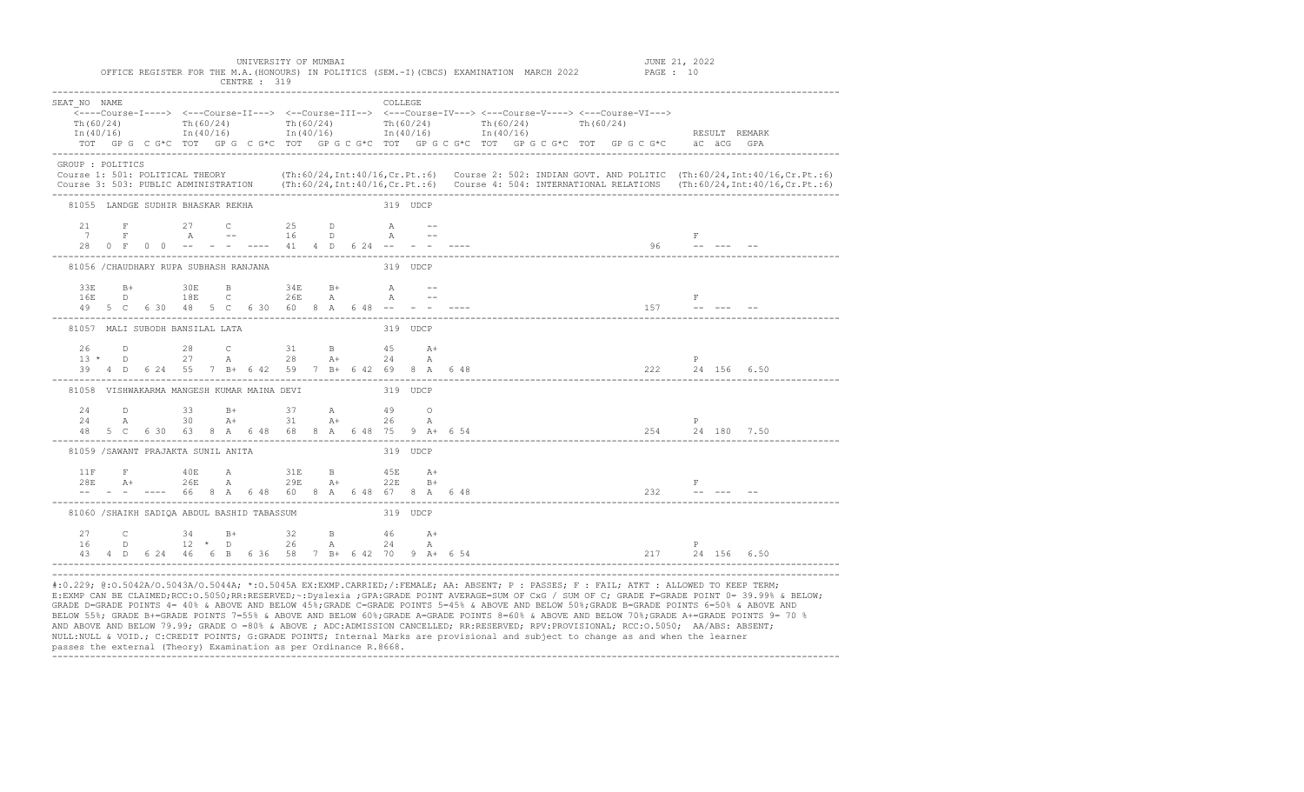| SEAT NO NAME     |  |                                   |  |                                                                                                                                                                                                 |  |  | COLLEGE                                                                                                                                                                                                                       |  |  |  |  |  |                                                                          |  |               |                                                                                                                                               |
|------------------|--|-----------------------------------|--|-------------------------------------------------------------------------------------------------------------------------------------------------------------------------------------------------|--|--|-------------------------------------------------------------------------------------------------------------------------------------------------------------------------------------------------------------------------------|--|--|--|--|--|--------------------------------------------------------------------------|--|---------------|-----------------------------------------------------------------------------------------------------------------------------------------------|
| Th (60/24)       |  |                                   |  | Th(60/24) Th(60/24) Th(60/24) Th(60/24) Th(60/24) Th(60/24)                                                                                                                                     |  |  |                                                                                                                                                                                                                               |  |  |  |  |  |                                                                          |  |               |                                                                                                                                               |
|                  |  |                                   |  | $\text{In (40/16)}$ $\text{In (40/16)}$ $\text{In (40/16)}$ $\text{In (40/16)}$ $\text{In (40/16)}$                                                                                             |  |  |                                                                                                                                                                                                                               |  |  |  |  |  |                                                                          |  | RESULT REMARK |                                                                                                                                               |
|                  |  |                                   |  | TOT GPG CG*C TOT GPG CG*C TOT GPG CG*C TOT GPG CG*C TOT GPG CG*C TOT GPG CG*C äCGGGPA                                                                                                           |  |  |                                                                                                                                                                                                                               |  |  |  |  |  |                                                                          |  |               |                                                                                                                                               |
| GROUP : POLITICS |  |                                   |  |                                                                                                                                                                                                 |  |  |                                                                                                                                                                                                                               |  |  |  |  |  |                                                                          |  |               |                                                                                                                                               |
|                  |  |                                   |  |                                                                                                                                                                                                 |  |  |                                                                                                                                                                                                                               |  |  |  |  |  |                                                                          |  |               | Course 1: 501: POLITICAL THEORY (Th:60/24, Int:40/16, Cr. Pt.:6) Course 2: 502: INDIAN GOVT. AND POLITIC (Th:60/24, Int:40/16, Cr. Pt.:6)     |
|                  |  |                                   |  |                                                                                                                                                                                                 |  |  |                                                                                                                                                                                                                               |  |  |  |  |  |                                                                          |  |               | Course 3: 503: PUBLIC ADMINISTRATION (Th:60/24, Int:40/16, Cr. Pt.:6) Course 4: 504: INTERNATIONAL RELATIONS (Th:60/24, Int:40/16, Cr. Pt.:6) |
|                  |  | 81055 LANDGE SUDHIR BHASKAR REKHA |  |                                                                                                                                                                                                 |  |  | 319 UDCP                                                                                                                                                                                                                      |  |  |  |  |  |                                                                          |  |               |                                                                                                                                               |
|                  |  |                                   |  | 21 F 27 C 25 D A --                                                                                                                                                                             |  |  |                                                                                                                                                                                                                               |  |  |  |  |  |                                                                          |  |               |                                                                                                                                               |
|                  |  |                                   |  |                                                                                                                                                                                                 |  |  |                                                                                                                                                                                                                               |  |  |  |  |  |                                                                          |  |               |                                                                                                                                               |
|                  |  |                                   |  |                                                                                                                                                                                                 |  |  |                                                                                                                                                                                                                               |  |  |  |  |  |                                                                          |  |               |                                                                                                                                               |
|                  |  |                                   |  | 81056 / CHAUDHARY RUPA SUBHASH RANJANA                                                                                                                                                          |  |  | and the state of the state of the state of the state of the state of the state of the state of the state of the state of the state of the state of the state of the state of the state of the state of the state of the state |  |  |  |  |  |                                                                          |  |               |                                                                                                                                               |
|                  |  |                                   |  |                                                                                                                                                                                                 |  |  |                                                                                                                                                                                                                               |  |  |  |  |  |                                                                          |  |               |                                                                                                                                               |
|                  |  |                                   |  |                                                                                                                                                                                                 |  |  |                                                                                                                                                                                                                               |  |  |  |  |  |                                                                          |  |               |                                                                                                                                               |
|                  |  |                                   |  |                                                                                                                                                                                                 |  |  |                                                                                                                                                                                                                               |  |  |  |  |  | $157$ -- --- --                                                          |  |               |                                                                                                                                               |
|                  |  | 81057 MALI SUBODH BANSILAL LATA   |  |                                                                                                                                                                                                 |  |  | 319 UDCP                                                                                                                                                                                                                      |  |  |  |  |  |                                                                          |  |               |                                                                                                                                               |
|                  |  |                                   |  |                                                                                                                                                                                                 |  |  |                                                                                                                                                                                                                               |  |  |  |  |  |                                                                          |  |               |                                                                                                                                               |
|                  |  |                                   |  |                                                                                                                                                                                                 |  |  |                                                                                                                                                                                                                               |  |  |  |  |  | $P = 1$                                                                  |  |               |                                                                                                                                               |
|                  |  |                                   |  | 39  4  D  6  24  55  7  B +  6  42  59  7  B +  6  42  69  8  A  6  48                                                                                                                          |  |  |                                                                                                                                                                                                                               |  |  |  |  |  | 222 24 156 6.50                                                          |  |               |                                                                                                                                               |
|                  |  |                                   |  | 81058 VISHWAKARMA MANGESH KUMAR MAINA DEVI 68 10 319 UDCP                                                                                                                                       |  |  |                                                                                                                                                                                                                               |  |  |  |  |  |                                                                          |  |               |                                                                                                                                               |
|                  |  |                                   |  | 24 D 33 B+ 37 A 49 O                                                                                                                                                                            |  |  |                                                                                                                                                                                                                               |  |  |  |  |  |                                                                          |  |               |                                                                                                                                               |
| 24               |  |                                   |  | A 30 A+ 31 A+ 26                                                                                                                                                                                |  |  |                                                                                                                                                                                                                               |  |  |  |  |  | P                                                                        |  |               |                                                                                                                                               |
|                  |  |                                   |  | $24$ A $30$ A+ $31$ A+ $26$ A<br>48 5 C 6 30 63 8 A 6 48 68 8 A 6 48 75 9 A+ 6 54                                                                                                               |  |  |                                                                                                                                                                                                                               |  |  |  |  |  |                                                                          |  |               |                                                                                                                                               |
|                  |  |                                   |  | 81059 /SAWANT PRAJAKTA SUNIL ANITA                                                                                                                                                              |  |  | 319 UDCP                                                                                                                                                                                                                      |  |  |  |  |  |                                                                          |  |               |                                                                                                                                               |
|                  |  |                                   |  | $11\,\mathrm{F} \qquad \qquad \mathrm{F} \qquad \qquad 40\,\mathrm{E} \qquad \qquad \mathrm{A} \qquad \qquad 31\,\mathrm{E} \qquad \mathrm{B} \qquad \qquad 45\,\mathrm{E} \qquad \mathrm{A}^+$ |  |  |                                                                                                                                                                                                                               |  |  |  |  |  |                                                                          |  |               |                                                                                                                                               |
|                  |  |                                   |  | $28E$ A+ $26E$ A $29E$ A+ $22E$ B+<br>-- - ---- 66 8 A 6 48 60 8 A 6 48 67 8 A 6 48                                                                                                             |  |  |                                                                                                                                                                                                                               |  |  |  |  |  |                                                                          |  |               |                                                                                                                                               |
|                  |  |                                   |  |                                                                                                                                                                                                 |  |  |                                                                                                                                                                                                                               |  |  |  |  |  | $\begin{array}{ccc}\n & & \text{F} \\ 232 & & \text{---} \\ \end{array}$ |  |               |                                                                                                                                               |
|                  |  |                                   |  | 81060 /SHAIKH SADIOA ABDUL BASHID TABASSUM                                                                                                                                                      |  |  | 319 UDCP                                                                                                                                                                                                                      |  |  |  |  |  |                                                                          |  |               |                                                                                                                                               |
|                  |  |                                   |  | 27 C 34 B+ 32 B 46 A+                                                                                                                                                                           |  |  |                                                                                                                                                                                                                               |  |  |  |  |  |                                                                          |  |               |                                                                                                                                               |
| 16               |  |                                   |  | D 12 * D 26 A 24 A                                                                                                                                                                              |  |  |                                                                                                                                                                                                                               |  |  |  |  |  | P                                                                        |  |               |                                                                                                                                               |
|                  |  |                                   |  | 43  4  D  6  24  46  6  B  6  36  58  7  B  6  42  70  9  A  +  6  54                                                                                                                           |  |  |                                                                                                                                                                                                                               |  |  |  |  |  | 217 24 156 6.50                                                          |  |               |                                                                                                                                               |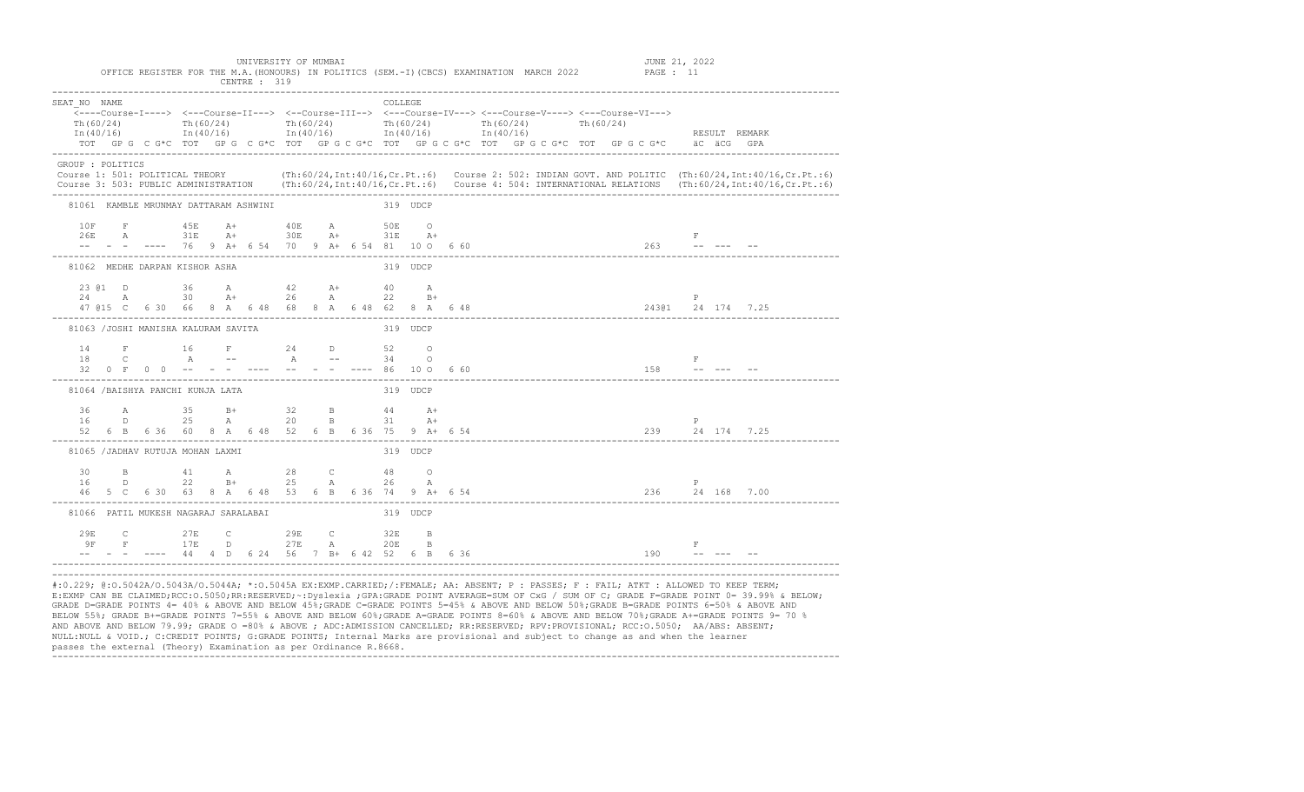| SEAT NO NAME<br>Th(60/24)                                                                                                                                                                                                                            |  | Th $(60/24)$<br>$\text{In (40/16)}$ $\text{In (40/16)}$ $\text{In (40/16)}$ $\text{In (40/16)}$ $\text{In (40/16)}$<br>TOT GP G C G*C TOT GP G C G*C TOT GP G C G*C TOT GP G C G*C TOT GP G C G*C TOT GP G C G*C äC äCG GPA                                                     |  | Th $(60/24)$ Th $(60/24)$ Th $(60/24)$             |  |          | COLLEGE         |      |  |  | Th(60/24) |  |                 |              | RESULT REMARK   |  |  |
|------------------------------------------------------------------------------------------------------------------------------------------------------------------------------------------------------------------------------------------------------|--|---------------------------------------------------------------------------------------------------------------------------------------------------------------------------------------------------------------------------------------------------------------------------------|--|----------------------------------------------------|--|----------|-----------------|------|--|--|-----------|--|-----------------|--------------|-----------------|--|--|
| GROUP : POLITICS<br>Course 1: 501: POLITICAL THEORY (Th:60/24, Int:40/16, Cr.Pt.:6) Course 2: 502: INDIAN GOVT. AND POLITIC (Th:60/24, Int:40/16, Cr.Pt.:6)<br>Course 3: 503: PUBLIC ADMINISTRATION (Th:60/24, Int:40/16, Cr.Pt.:6) Course 4: 504: I |  |                                                                                                                                                                                                                                                                                 |  |                                                    |  |          |                 |      |  |  |           |  |                 |              |                 |  |  |
|                                                                                                                                                                                                                                                      |  | 81061 KAMBLE MRUNMAY DATTARAM ASHWINI                                                                                                                                                                                                                                           |  |                                                    |  | 319 UDCP |                 |      |  |  |           |  |                 |              |                 |  |  |
| 10F                                                                                                                                                                                                                                                  |  | F 45E A+ 40E A 50E O<br>$26E \qquad A \qquad 31E \qquad A + \qquad 30E \qquad A + \qquad 31E \qquad A +$<br>-- - - ---- 76 9 A+ 6 54 70 9 A+ 6 54 81 10 0 6 60                                                                                                                  |  |                                                    |  |          |                 |      |  |  |           |  |                 | F            | $263$ -- --- -- |  |  |
|                                                                                                                                                                                                                                                      |  | 81062 MEDHE DARPAN KISHOR ASHA                                                                                                                                                                                                                                                  |  |                                                    |  |          | 319 UDCP        |      |  |  |           |  |                 |              |                 |  |  |
|                                                                                                                                                                                                                                                      |  | $23$ (e1 D $36$ A $42$ A+<br>$24$ A $30$ A+ $26$ A<br>47 @15 C    6 30 66 8 A    6 48 68 8 A    6 48 62 8 A    6 48    48    48    48    48    48    48    48    48    48    48    48    48    48    48    48    48    48    48    48    48    48    48    48    48    48    48 |  |                                                    |  |          | 40 A<br>$22$ B+ |      |  |  |           |  |                 | $\mathbb{P}$ |                 |  |  |
|                                                                                                                                                                                                                                                      |  | 81063 /JOSHI MANISHA KALURAM SAVITA                                                                                                                                                                                                                                             |  |                                                    |  |          | 319 UDCP        |      |  |  |           |  |                 |              |                 |  |  |
|                                                                                                                                                                                                                                                      |  | 14 F 16 F 24 D 52 O<br>18 C A -- A -- 34 O<br>32 0 F 0 0 -- - - ---- -- - - ---- 86 10 0 660                                                                                                                                                                                    |  |                                                    |  |          |                 |      |  |  |           |  | $158$ ------    | F            |                 |  |  |
|                                                                                                                                                                                                                                                      |  | 81064 / BAISHYA PANCHI KUNJA LATA                                                                                                                                                                                                                                               |  |                                                    |  |          | 319 UDCP        |      |  |  |           |  |                 |              |                 |  |  |
|                                                                                                                                                                                                                                                      |  | 36 A 35 B+ 32 B 44 A+<br>16 D<br>52 6 B 6 36 60 8 A 6 48 52 6 B 6 36 75 9 A+ 6 54                                                                                                                                                                                               |  | 25 A 20 B 31                                       |  |          |                 | $A+$ |  |  |           |  | 239 24 174 7.25 |              |                 |  |  |
|                                                                                                                                                                                                                                                      |  | 81065 /JADHAV RUTUJA MOHAN LAXMI                                                                                                                                                                                                                                                |  |                                                    |  |          | 319 UDCP        |      |  |  |           |  |                 |              |                 |  |  |
| 30 L<br>16                                                                                                                                                                                                                                           |  | B 41 A 28 C 48 O<br>$\Box$<br>46 5 C 6 30 63 8 A 6 48 53 6 B 6 36 74 9 A+ 6 54                                                                                                                                                                                                  |  | 22 B+ 25 A 26 A                                    |  |          |                 |      |  |  |           |  | 236 24 168 7.00 | P            |                 |  |  |
|                                                                                                                                                                                                                                                      |  | 81066 PATIL MUKESH NAGARAJ SARALABAI                                                                                                                                                                                                                                            |  |                                                    |  |          | 319 UDCP        |      |  |  |           |  |                 |              |                 |  |  |
| 29E                                                                                                                                                                                                                                                  |  | C 27E C 29E C 32E B<br>$9F$ $F$ $17E$ $D$ $27E$ $A$ $20E$ $B$                                                                                                                                                                                                                   |  | $--$ - - ---- 44 4 D 6 24 56 7 B+ 6 42 52 6 B 6 36 |  |          |                 |      |  |  |           |  | $190 - - - -$   | $\mathbf{F}$ |                 |  |  |